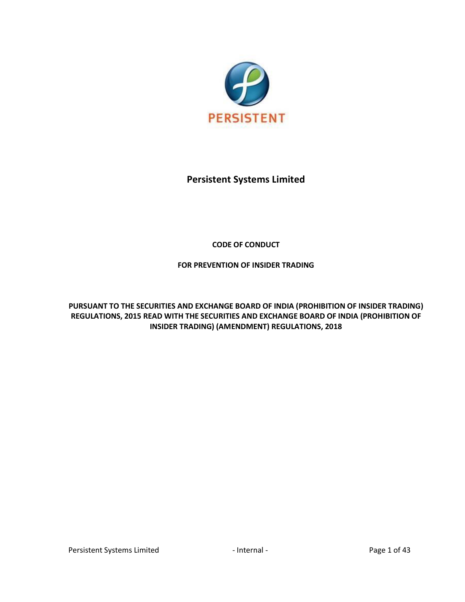

# **Persistent Systems Limited**

# **CODE OF CONDUCT**

# **FOR PREVENTION OF INSIDER TRADING**

**PURSUANT TO THE SECURITIES AND EXCHANGE BOARD OF INDIA (PROHIBITION OF INSIDER TRADING) REGULATIONS, 2015 READ WITH THE SECURITIES AND EXCHANGE BOARD OF INDIA (PROHIBITION OF INSIDER TRADING) (AMENDMENT) REGULATIONS, 2018**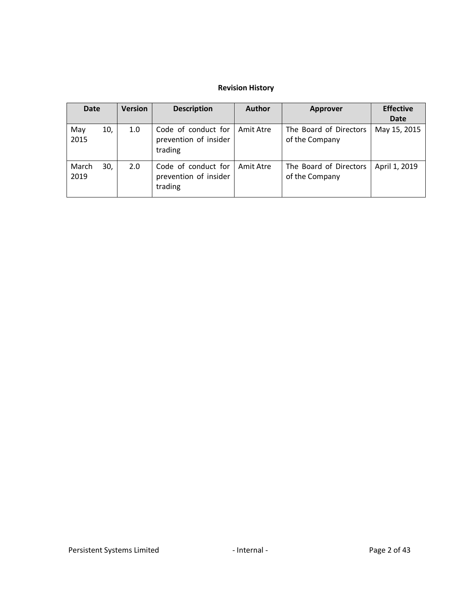# **Revision History**

| Date          |     | <b>Version</b> | <b>Description</b>                                      | <b>Author</b> | Approver                                 | <b>Effective</b><br>Date |
|---------------|-----|----------------|---------------------------------------------------------|---------------|------------------------------------------|--------------------------|
| May<br>2015   | 10, | 1.0            | Code of conduct for<br>prevention of insider<br>trading | Amit Atre     | The Board of Directors<br>of the Company | May 15, 2015             |
| March<br>2019 | 30, | 2.0            | Code of conduct for<br>prevention of insider<br>trading | Amit Atre     | The Board of Directors<br>of the Company | April 1, 2019            |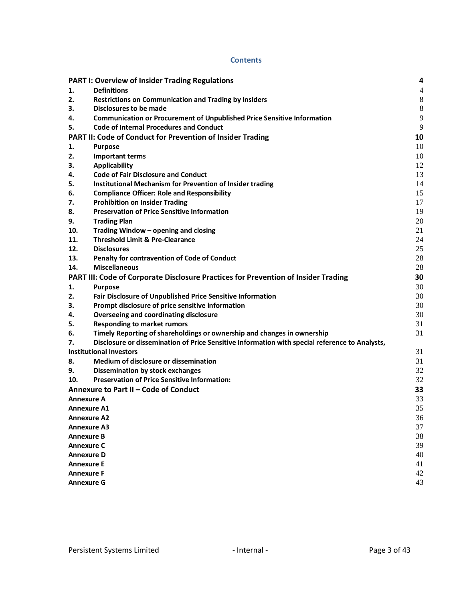#### **Contents**

|                   | <b>PART I: Overview of Insider Trading Regulations</b>                                         | 4                        |
|-------------------|------------------------------------------------------------------------------------------------|--------------------------|
| 1.                | <b>Definitions</b>                                                                             | $\overline{\mathcal{L}}$ |
| 2.                | <b>Restrictions on Communication and Trading by Insiders</b>                                   | 8                        |
| 3.                | Disclosures to be made                                                                         | 8                        |
| 4.                | <b>Communication or Procurement of Unpublished Price Sensitive Information</b>                 | 9                        |
| 5.                | <b>Code of Internal Procedures and Conduct</b>                                                 | 9                        |
|                   | PART II: Code of Conduct for Prevention of Insider Trading                                     | 10                       |
| 1.                | <b>Purpose</b>                                                                                 | 10                       |
| 2.                | <b>Important terms</b>                                                                         | 10                       |
| 3.                | <b>Applicability</b>                                                                           | 12                       |
| 4.                | <b>Code of Fair Disclosure and Conduct</b>                                                     | 13                       |
| 5.                | Institutional Mechanism for Prevention of Insider trading                                      | 14                       |
| 6.                | <b>Compliance Officer: Role and Responsibility</b>                                             | 15                       |
| 7.                | <b>Prohibition on Insider Trading</b>                                                          | 17                       |
| 8.                | <b>Preservation of Price Sensitive Information</b>                                             | 19                       |
| 9.                | <b>Trading Plan</b>                                                                            | 20                       |
| 10.               | Trading Window - opening and closing                                                           | 21                       |
| 11.               | <b>Threshold Limit &amp; Pre-Clearance</b>                                                     | 24                       |
| 12.               | <b>Disclosures</b>                                                                             | 25                       |
| 13.               | Penalty for contravention of Code of Conduct                                                   | 28                       |
| 14.               | <b>Miscellaneous</b>                                                                           | 28                       |
|                   | PART III: Code of Corporate Disclosure Practices for Prevention of Insider Trading             | 30                       |
| 1.                | <b>Purpose</b>                                                                                 | 30                       |
| 2.                | Fair Disclosure of Unpublished Price Sensitive Information                                     | 30                       |
| 3.                | Prompt disclosure of price sensitive information                                               | 30                       |
| 4.                | <b>Overseeing and coordinating disclosure</b>                                                  | 30                       |
| 5.                | <b>Responding to market rumors</b>                                                             | 31                       |
| 6.                | Timely Reporting of shareholdings or ownership and changes in ownership                        | 31                       |
| 7.                | Disclosure or dissemination of Price Sensitive Information with special reference to Analysts, |                          |
|                   | <b>Institutional Investors</b>                                                                 | 31                       |
| 8.                | Medium of disclosure or dissemination                                                          | 31                       |
| 9.                | <b>Dissemination by stock exchanges</b>                                                        | 32                       |
| 10.               | <b>Preservation of Price Sensitive Information:</b>                                            | 32                       |
|                   | Annexure to Part II - Code of Conduct                                                          | 33                       |
|                   | <b>Annexure A</b>                                                                              | 33                       |
|                   | <b>Annexure A1</b>                                                                             | 35                       |
|                   | <b>Annexure A2</b>                                                                             | 36                       |
|                   | <b>Annexure A3</b>                                                                             | 37                       |
|                   | <b>Annexure B</b>                                                                              | 38                       |
| <b>Annexure C</b> |                                                                                                |                          |
| <b>Annexure D</b> |                                                                                                |                          |
| <b>Annexure E</b> |                                                                                                |                          |
| <b>Annexure F</b> |                                                                                                | 41<br>42                 |
|                   | <b>Annexure G</b>                                                                              | 43                       |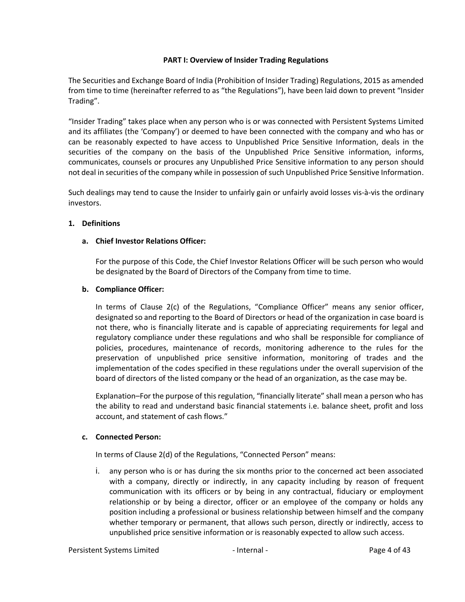### **PART I: Overview of Insider Trading Regulations**

<span id="page-3-0"></span>The Securities and Exchange Board of India (Prohibition of Insider Trading) Regulations, 2015 as amended from time to time (hereinafter referred to as "the Regulations"), have been laid down to prevent "Insider Trading".

"Insider Trading" takes place when any person who is or was connected with Persistent Systems Limited and its affiliates (the 'Company') or deemed to have been connected with the company and who has or can be reasonably expected to have access to Unpublished Price Sensitive Information, deals in the securities of the company on the basis of the Unpublished Price Sensitive information, informs, communicates, counsels or procures any Unpublished Price Sensitive information to any person should not deal in securities of the company while in possession of such Unpublished Price Sensitive Information.

Such dealings may tend to cause the Insider to unfairly gain or unfairly avoid losses vis-à-vis the ordinary investors.

### <span id="page-3-1"></span>**1. Definitions**

### **a. Chief Investor Relations Officer:**

For the purpose of this Code, the Chief Investor Relations Officer will be such person who would be designated by the Board of Directors of the Company from time to time.

### **b. Compliance Officer:**

In terms of Clause 2(c) of the Regulations, "Compliance Officer" means any senior officer, designated so and reporting to the Board of Directors or head of the organization in case board is not there, who is financially literate and is capable of appreciating requirements for legal and regulatory compliance under these regulations and who shall be responsible for compliance of policies, procedures, maintenance of records, monitoring adherence to the rules for the preservation of unpublished price sensitive information, monitoring of trades and the implementation of the codes specified in these regulations under the overall supervision of the board of directors of the listed company or the head of an organization, as the case may be.

Explanation–For the purpose of this regulation, "financially literate" shall mean a person who has the ability to read and understand basic financial statements i.e. balance sheet, profit and loss account, and statement of cash flows."

### **c. Connected Person:**

In terms of Clause 2(d) of the Regulations, "Connected Person" means:

i. any person who is or has during the six months prior to the concerned act been associated with a company, directly or indirectly, in any capacity including by reason of frequent communication with its officers or by being in any contractual, fiduciary or employment relationship or by being a director, officer or an employee of the company or holds any position including a professional or business relationship between himself and the company whether temporary or permanent, that allows such person, directly or indirectly, access to unpublished price sensitive information or is reasonably expected to allow such access.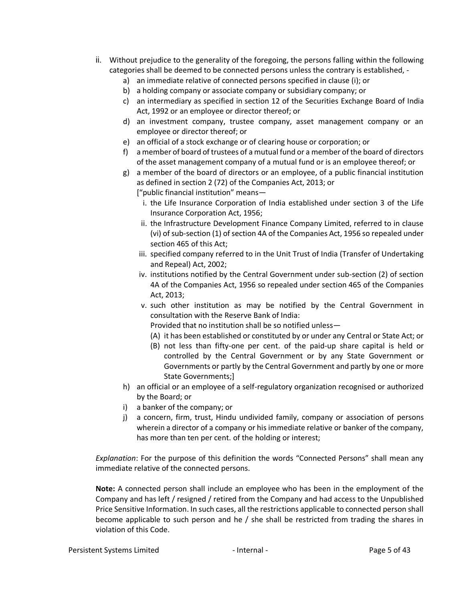- ii. Without prejudice to the generality of the foregoing, the persons falling within the following categories shall be deemed to be connected persons unless the contrary is established,
	- a) an immediate relative of connected persons specified in clause (i); or
	- b) a holding company or associate company or subsidiary company; or
	- c) an intermediary as specified in section 12 of the Securities Exchange Board of India Act, 1992 or an employee or director thereof; or
	- d) an investment company, trustee company, asset management company or an employee or director thereof; or
	- e) an official of a stock exchange or of clearing house or corporation; or
	- f) a member of board of trustees of a mutual fund or a member of the board of directors of the asset management company of a mutual fund or is an employee thereof; or
	- g) a member of the board of directors or an employee, of a public financial institution as defined in section 2 (72) of the Companies Act, 2013; or ["public financial institution" means
		- i. the Life Insurance Corporation of India established under section 3 of the Life Insurance Corporation Act, 1956;
		- ii. the Infrastructure Development Finance Company Limited, referred to in clause (vi) of sub-section (1) of section 4A of the Companies Act, 1956 so repealed under section 465 of this Act;
		- iii. specified company referred to in the Unit Trust of India (Transfer of Undertaking and Repeal) Act, 2002;
		- iv. institutions notified by the Central Government under sub-section (2) of section 4A of the Companies Act, 1956 so repealed under section 465 of the Companies Act, 2013;
		- v. such other institution as may be notified by the Central Government in consultation with the Reserve Bank of India:

Provided that no institution shall be so notified unless—

- (A) it has been established or constituted by or under any Central or State Act; or
- (B) not less than fifty-one per cent. of the paid-up share capital is held or controlled by the Central Government or by any State Government or Governments or partly by the Central Government and partly by one or more State Governments;]
- h) an official or an employee of a self-regulatory organization recognised or authorized by the Board; or
- i) a banker of the company; or
- j) a concern, firm, trust, Hindu undivided family, company or association of persons wherein a director of a company or his immediate relative or banker of the company, has more than ten per cent. of the holding or interest;

*Explanation*: For the purpose of this definition the words "Connected Persons" shall mean any immediate relative of the connected persons.

**Note:** A connected person shall include an employee who has been in the employment of the Company and has left / resigned / retired from the Company and had access to the Unpublished Price Sensitive Information. In such cases, all the restrictions applicable to connected person shall become applicable to such person and he / she shall be restricted from trading the shares in violation of this Code.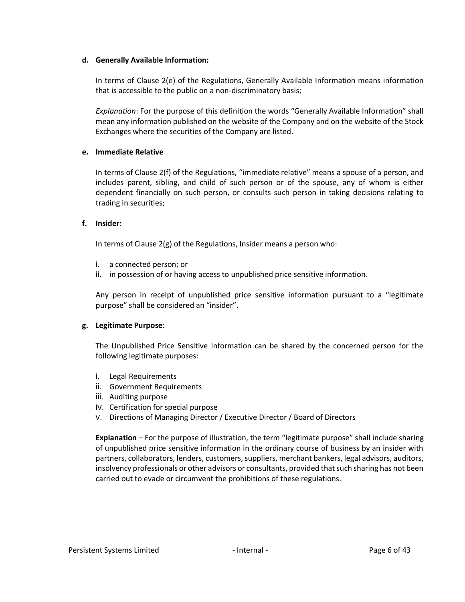#### **d. Generally Available Information:**

In terms of Clause 2(e) of the Regulations, Generally Available Information means information that is accessible to the public on a non-discriminatory basis;

*Explanation*: For the purpose of this definition the words "Generally Available Information" shall mean any information published on the website of the Company and on the website of the Stock Exchanges where the securities of the Company are listed.

### **e. Immediate Relative**

In terms of Clause 2(f) of the Regulations, "immediate relative" means a spouse of a person, and includes parent, sibling, and child of such person or of the spouse, any of whom is either dependent financially on such person, or consults such person in taking decisions relating to trading in securities;

#### **f. Insider:**

In terms of Clause 2(g) of the Regulations, Insider means a person who:

- i. a connected person; or
- ii. in possession of or having access to unpublished price sensitive information.

Any person in receipt of unpublished price sensitive information pursuant to a "legitimate purpose" shall be considered an "insider".

#### **g. Legitimate Purpose:**

The Unpublished Price Sensitive Information can be shared by the concerned person for the following legitimate purposes:

- i. Legal Requirements
- ii. Government Requirements
- iii. Auditing purpose
- iv. Certification for special purpose
- v. Directions of Managing Director / Executive Director / Board of Directors

**Explanation** – For the purpose of illustration, the term "legitimate purpose" shall include sharing of unpublished price sensitive information in the ordinary course of business by an insider with partners, collaborators, lenders, customers, suppliers, merchant bankers, legal advisors, auditors, insolvency professionals or other advisors or consultants, provided that such sharing has not been carried out to evade or circumvent the prohibitions of these regulations.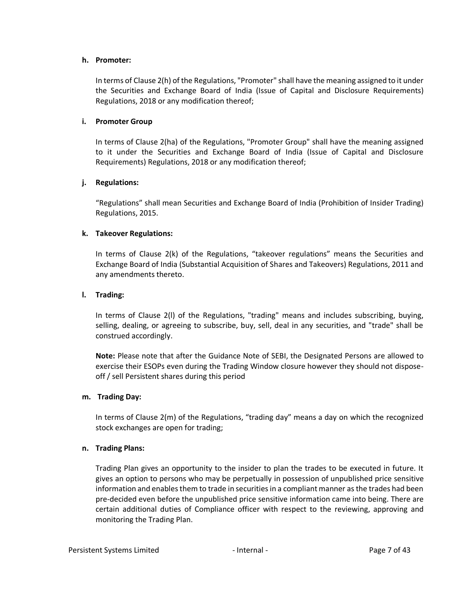#### **h. Promoter:**

In terms of Clause 2(h) of the Regulations, "Promoter" shall have the meaning assigned to it under the Securities and Exchange Board of India (Issue of Capital and Disclosure Requirements) Regulations, 2018 or any modification thereof;

#### **i. Promoter Group**

In terms of Clause 2(ha) of the Regulations, "Promoter Group" shall have the meaning assigned to it under the Securities and Exchange Board of India (Issue of Capital and Disclosure Requirements) Regulations, 2018 or any modification thereof;

### **j. Regulations:**

"Regulations" shall mean Securities and Exchange Board of India (Prohibition of Insider Trading) Regulations, 2015.

### **k. Takeover Regulations:**

In terms of Clause 2(k) of the Regulations, "takeover regulations" means the Securities and Exchange Board of India (Substantial Acquisition of Shares and Takeovers) Regulations, 2011 and any amendments thereto.

#### **l. Trading:**

In terms of Clause 2(l) of the Regulations, "trading" means and includes subscribing, buying, selling, dealing, or agreeing to subscribe, buy, sell, deal in any securities, and "trade" shall be construed accordingly.

**Note:** Please note that after the Guidance Note of SEBI, the Designated Persons are allowed to exercise their ESOPs even during the Trading Window closure however they should not disposeoff / sell Persistent shares during this period

#### **m. Trading Day:**

In terms of Clause 2(m) of the Regulations, "trading day" means a day on which the recognized stock exchanges are open for trading;

#### **n. Trading Plans:**

Trading Plan gives an opportunity to the insider to plan the trades to be executed in future. It gives an option to persons who may be perpetually in possession of unpublished price sensitive information and enables them to trade in securities in a compliant manner as the trades had been pre-decided even before the unpublished price sensitive information came into being. There are certain additional duties of Compliance officer with respect to the reviewing, approving and monitoring the Trading Plan.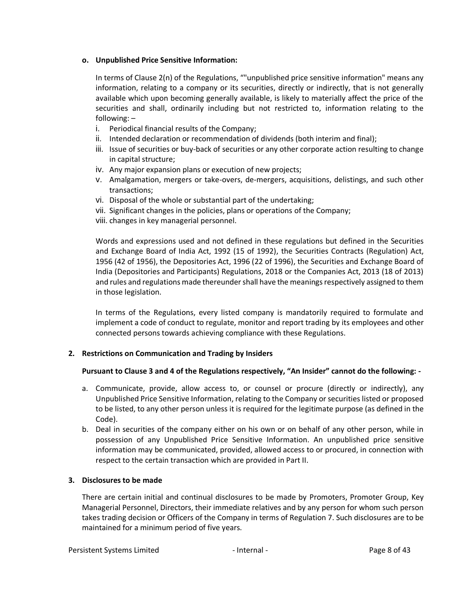## **o. Unpublished Price Sensitive Information:**

In terms of Clause 2(n) of the Regulations, ""unpublished price sensitive information" means any information, relating to a company or its securities, directly or indirectly, that is not generally available which upon becoming generally available, is likely to materially affect the price of the securities and shall, ordinarily including but not restricted to, information relating to the following: –

- i. Periodical financial results of the Company;
- ii. Intended declaration or recommendation of dividends (both interim and final);
- iii. Issue of securities or buy-back of securities or any other corporate action resulting to change in capital structure;
- iv. Any major expansion plans or execution of new projects;
- v. Amalgamation, mergers or take-overs, de-mergers, acquisitions, delistings, and such other transactions;
- vi. Disposal of the whole or substantial part of the undertaking;
- vii. Significant changes in the policies, plans or operations of the Company;
- viii. changes in key managerial personnel.

Words and expressions used and not defined in these regulations but defined in the Securities and Exchange Board of India Act, 1992 (15 of 1992), the Securities Contracts (Regulation) Act, 1956 (42 of 1956), the Depositories Act, 1996 (22 of 1996), the Securities and Exchange Board of India (Depositories and Participants) Regulations, 2018 or the Companies Act, 2013 (18 of 2013) and rules and regulations made thereunder shall have the meanings respectively assigned to them in those legislation.

In terms of the Regulations, every listed company is mandatorily required to formulate and implement a code of conduct to regulate, monitor and report trading by its employees and other connected persons towards achieving compliance with these Regulations.

# <span id="page-7-0"></span>**2. Restrictions on Communication and Trading by Insiders**

# **Pursuant to Clause 3 and 4 of the Regulations respectively, "An Insider" cannot do the following: -**

- a. Communicate, provide, allow access to, or counsel or procure (directly or indirectly), any Unpublished Price Sensitive Information, relating to the Company or securities listed or proposed to be listed, to any other person unless it is required for the legitimate purpose (as defined in the Code).
- b. Deal in securities of the company either on his own or on behalf of any other person, while in possession of any Unpublished Price Sensitive Information. An unpublished price sensitive information may be communicated, provided, allowed access to or procured, in connection with respect to the certain transaction which are provided in Part II.

# <span id="page-7-1"></span>**3. Disclosures to be made**

There are certain initial and continual disclosures to be made by Promoters, Promoter Group, Key Managerial Personnel, Directors, their immediate relatives and by any person for whom such person takes trading decision or Officers of the Company in terms of Regulation 7. Such disclosures are to be maintained for a minimum period of five years.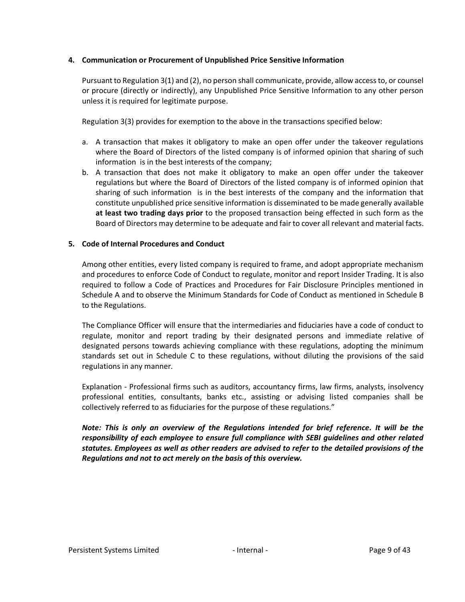### <span id="page-8-0"></span>**4. Communication or Procurement of Unpublished Price Sensitive Information**

Pursuant to Regulation 3(1) and (2), no person shall communicate, provide, allow access to, or counsel or procure (directly or indirectly), any Unpublished Price Sensitive Information to any other person unless it is required for legitimate purpose.

Regulation 3(3) provides for exemption to the above in the transactions specified below:

- a. A transaction that makes it obligatory to make an open offer under the takeover regulations where the Board of Directors of the listed company is of informed opinion that sharing of such information is in the best interests of the company;
- b. A transaction that does not make it obligatory to make an open offer under the takeover regulations but where the Board of Directors of the listed company is of informed opinion that sharing of such information is in the best interests of the company and the information that constitute unpublished price sensitive information is disseminated to be made generally available **at least two trading days prior** to the proposed transaction being effected in such form as the Board of Directors may determine to be adequate and fair to cover all relevant and material facts.

### <span id="page-8-1"></span>**5. Code of Internal Procedures and Conduct**

Among other entities, every listed company is required to frame, and adopt appropriate mechanism and procedures to enforce Code of Conduct to regulate, monitor and report Insider Trading. It is also required to follow a Code of Practices and Procedures for Fair Disclosure Principles mentioned in Schedule A and to observe the Minimum Standards for Code of Conduct as mentioned in Schedule B to the Regulations.

The Compliance Officer will ensure that the intermediaries and fiduciaries have a code of conduct to regulate, monitor and report trading by their designated persons and immediate relative of designated persons towards achieving compliance with these regulations, adopting the minimum standards set out in Schedule C to these regulations, without diluting the provisions of the said regulations in any manner.

Explanation - Professional firms such as auditors, accountancy firms, law firms, analysts, insolvency professional entities, consultants, banks etc., assisting or advising listed companies shall be collectively referred to as fiduciaries for the purpose of these regulations."

*Note: This is only an overview of the Regulations intended for brief reference. It will be the responsibility of each employee to ensure full compliance with SEBI guidelines and other related statutes. Employees as well as other readers are advised to refer to the detailed provisions of the Regulations and not to act merely on the basis of this overview.*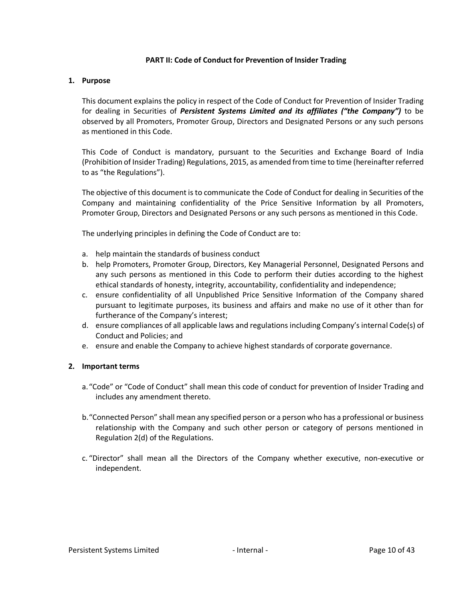### **PART II: Code of Conduct for Prevention of Insider Trading**

#### <span id="page-9-1"></span><span id="page-9-0"></span>**1. Purpose**

This document explains the policy in respect of the Code of Conduct for Prevention of Insider Trading for dealing in Securities of *Persistent Systems Limited and its affiliates ("the Company")* to be observed by all Promoters, Promoter Group, Directors and Designated Persons or any such persons as mentioned in this Code.

This Code of Conduct is mandatory, pursuant to the Securities and Exchange Board of India (Prohibition of Insider Trading) Regulations, 2015, as amended from time to time (hereinafter referred to as "the Regulations").

The objective of this document is to communicate the Code of Conduct for dealing in Securities of the Company and maintaining confidentiality of the Price Sensitive Information by all Promoters, Promoter Group, Directors and Designated Persons or any such persons as mentioned in this Code.

The underlying principles in defining the Code of Conduct are to:

- a. help maintain the standards of business conduct
- b. help Promoters, Promoter Group, Directors, Key Managerial Personnel, Designated Persons and any such persons as mentioned in this Code to perform their duties according to the highest ethical standards of honesty, integrity, accountability, confidentiality and independence;
- c. ensure confidentiality of all Unpublished Price Sensitive Information of the Company shared pursuant to legitimate purposes, its business and affairs and make no use of it other than for furtherance of the Company's interest;
- d. ensure compliances of all applicable laws and regulations including Company's internal Code(s) of Conduct and Policies; and
- e. ensure and enable the Company to achieve highest standards of corporate governance.

### <span id="page-9-2"></span>**2. Important terms**

- a."Code" or "Code of Conduct" shall mean this code of conduct for prevention of Insider Trading and includes any amendment thereto.
- b."Connected Person" shall mean any specified person or a person who has a professional or business relationship with the Company and such other person or category of persons mentioned in Regulation 2(d) of the Regulations.
- c. "Director" shall mean all the Directors of the Company whether executive, non-executive or independent.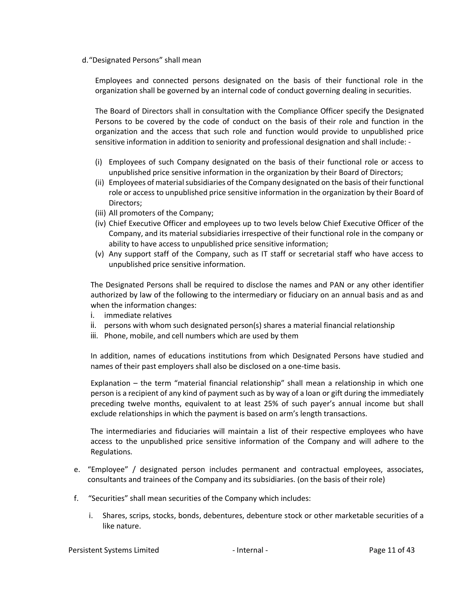#### d."Designated Persons" shall mean

Employees and connected persons designated on the basis of their functional role in the organization shall be governed by an internal code of conduct governing dealing in securities.

The Board of Directors shall in consultation with the Compliance Officer specify the Designated Persons to be covered by the code of conduct on the basis of their role and function in the organization and the access that such role and function would provide to unpublished price sensitive information in addition to seniority and professional designation and shall include: -

- (i) Employees of such Company designated on the basis of their functional role or access to unpublished price sensitive information in the organization by their Board of Directors;
- (ii) Employees of material subsidiaries of the Company designated on the basis of their functional role or access to unpublished price sensitive information in the organization by their Board of Directors;
- (iii) All promoters of the Company;
- (iv) Chief Executive Officer and employees up to two levels below Chief Executive Officer of the Company, and its material subsidiaries irrespective of their functional role in the company or ability to have access to unpublished price sensitive information;
- (v) Any support staff of the Company, such as IT staff or secretarial staff who have access to unpublished price sensitive information.

The Designated Persons shall be required to disclose the names and PAN or any other identifier authorized by law of the following to the intermediary or fiduciary on an annual basis and as and when the information changes:

- i. immediate relatives
- ii. persons with whom such designated person(s) shares a material financial relationship
- iii. Phone, mobile, and cell numbers which are used by them

In addition, names of educations institutions from which Designated Persons have studied and names of their past employers shall also be disclosed on a one-time basis.

Explanation – the term "material financial relationship" shall mean a relationship in which one person is a recipient of any kind of payment such as by way of a loan or gift during the immediately preceding twelve months, equivalent to at least 25% of such payer's annual income but shall exclude relationships in which the payment is based on arm's length transactions.

The intermediaries and fiduciaries will maintain a list of their respective employees who have access to the unpublished price sensitive information of the Company and will adhere to the Regulations.

- e. "Employee" / designated person includes permanent and contractual employees, associates, consultants and trainees of the Company and its subsidiaries. (on the basis of their role)
- f. "Securities" shall mean securities of the Company which includes:
	- i. Shares, scrips, stocks, bonds, debentures, debenture stock or other marketable securities of a like nature.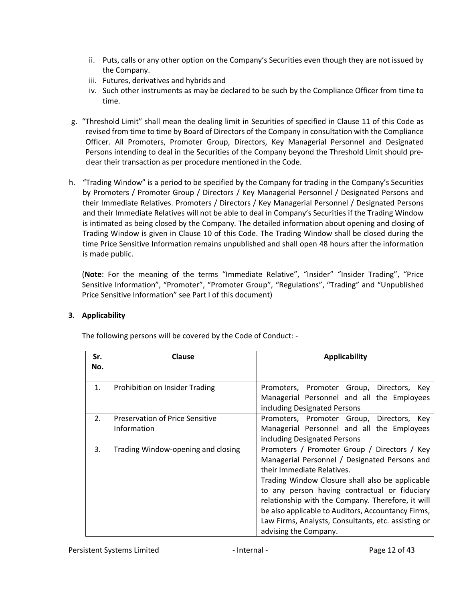- ii. Puts, calls or any other option on the Company's Securities even though they are not issued by the Company.
- iii. Futures, derivatives and hybrids and
- iv. Such other instruments as may be declared to be such by the Compliance Officer from time to time.
- g. "Threshold Limit" shall mean the dealing limit in Securities of specified in Clause 11 of this Code as revised from time to time by Board of Directors of the Company in consultation with the Compliance Officer. All Promoters, Promoter Group, Directors, Key Managerial Personnel and Designated Persons intending to deal in the Securities of the Company beyond the Threshold Limit should preclear their transaction as per procedure mentioned in the Code.
- h. "Trading Window" is a period to be specified by the Company for trading in the Company's Securities by Promoters / Promoter Group / Directors / Key Managerial Personnel / Designated Persons and their Immediate Relatives. Promoters / Directors / Key Managerial Personnel / Designated Persons and their Immediate Relatives will not be able to deal in Company's Securities if the Trading Window is intimated as being closed by the Company. The detailed information about opening and closing of Trading Window is given in Clause 10 of this Code. The Trading Window shall be closed during the time Price Sensitive Information remains unpublished and shall open 48 hours after the information is made public.

(**Note**: For the meaning of the terms "Immediate Relative", "Insider" "Insider Trading", "Price Sensitive Information", "Promoter", "Promoter Group", "Regulations", "Trading" and "Unpublished Price Sensitive Information" see Part I of this document)

# <span id="page-11-0"></span>**3. Applicability**

| The following persons will be covered by the Code of Conduct: - |  |
|-----------------------------------------------------------------|--|
|                                                                 |  |

| Sr.<br>No. | Clause                                                | <b>Applicability</b>                                                                                                                                                                                                                                                                                                                                                                                                       |
|------------|-------------------------------------------------------|----------------------------------------------------------------------------------------------------------------------------------------------------------------------------------------------------------------------------------------------------------------------------------------------------------------------------------------------------------------------------------------------------------------------------|
| 1.         | Prohibition on Insider Trading                        | Promoters, Promoter Group, Directors, Key<br>Managerial Personnel and all the Employees<br>including Designated Persons                                                                                                                                                                                                                                                                                                    |
| 2.         | <b>Preservation of Price Sensitive</b><br>Information | Promoters, Promoter Group, Directors, Key<br>Managerial Personnel and all the Employees<br>including Designated Persons                                                                                                                                                                                                                                                                                                    |
| 3.         | Trading Window-opening and closing                    | Promoters / Promoter Group / Directors / Key<br>Managerial Personnel / Designated Persons and<br>their Immediate Relatives.<br>Trading Window Closure shall also be applicable<br>to any person having contractual or fiduciary<br>relationship with the Company. Therefore, it will<br>be also applicable to Auditors, Accountancy Firms,<br>Law Firms, Analysts, Consultants, etc. assisting or<br>advising the Company. |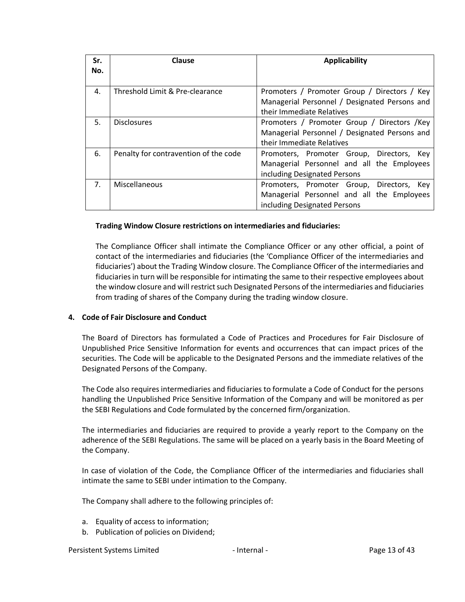| Sr.            | Clause                                | <b>Applicability</b>                          |
|----------------|---------------------------------------|-----------------------------------------------|
| No.            |                                       |                                               |
| 4.             | Threshold Limit & Pre-clearance       | Promoters / Promoter Group / Directors / Key  |
|                |                                       | Managerial Personnel / Designated Persons and |
|                |                                       | their Immediate Relatives                     |
| .5.            | <b>Disclosures</b>                    | Promoters / Promoter Group / Directors /Key   |
|                |                                       | Managerial Personnel / Designated Persons and |
|                |                                       | their Immediate Relatives                     |
| 6.             | Penalty for contravention of the code | Promoters, Promoter Group, Directors, Key     |
|                |                                       | Managerial Personnel and all the Employees    |
|                |                                       | including Designated Persons                  |
| 7 <sub>1</sub> | Miscellaneous                         | Promoters, Promoter Group, Directors, Key     |
|                |                                       | Managerial Personnel and all the Employees    |
|                |                                       | including Designated Persons                  |

### **Trading Window Closure restrictions on intermediaries and fiduciaries:**

The Compliance Officer shall intimate the Compliance Officer or any other official, a point of contact of the intermediaries and fiduciaries (the 'Compliance Officer of the intermediaries and fiduciaries') about the Trading Window closure. The Compliance Officer of the intermediaries and fiduciaries in turn will be responsible for intimating the same to their respective employees about the window closure and will restrict such Designated Persons of the intermediaries and fiduciaries from trading of shares of the Company during the trading window closure.

### <span id="page-12-0"></span>**4. Code of Fair Disclosure and Conduct**

The Board of Directors has formulated a Code of Practices and Procedures for Fair Disclosure of Unpublished Price Sensitive Information for events and occurrences that can impact prices of the securities. The Code will be applicable to the Designated Persons and the immediate relatives of the Designated Persons of the Company.

The Code also requires intermediaries and fiduciaries to formulate a Code of Conduct for the persons handling the Unpublished Price Sensitive Information of the Company and will be monitored as per the SEBI Regulations and Code formulated by the concerned firm/organization.

The intermediaries and fiduciaries are required to provide a yearly report to the Company on the adherence of the SEBI Regulations. The same will be placed on a yearly basis in the Board Meeting of the Company.

In case of violation of the Code, the Compliance Officer of the intermediaries and fiduciaries shall intimate the same to SEBI under intimation to the Company.

The Company shall adhere to the following principles of:

- a. Equality of access to information;
- b. Publication of policies on Dividend;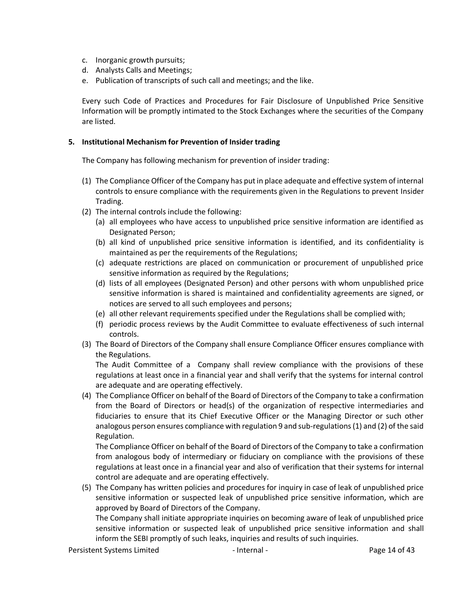- c. Inorganic growth pursuits;
- d. Analysts Calls and Meetings;
- e. Publication of transcripts of such call and meetings; and the like.

Every such Code of Practices and Procedures for Fair Disclosure of Unpublished Price Sensitive Information will be promptly intimated to the Stock Exchanges where the securities of the Company are listed.

#### <span id="page-13-0"></span>**5. Institutional Mechanism for Prevention of Insider trading**

The Company has following mechanism for prevention of insider trading:

- (1) The Compliance Officer of the Company has put in place adequate and effective system of internal controls to ensure compliance with the requirements given in the Regulations to prevent Insider Trading.
- (2) The internal controls include the following:
	- (a) all employees who have access to unpublished price sensitive information are identified as Designated Person;
	- (b) all kind of unpublished price sensitive information is identified, and its confidentiality is maintained as per the requirements of the Regulations;
	- (c) adequate restrictions are placed on communication or procurement of unpublished price sensitive information as required by the Regulations;
	- (d) lists of all employees (Designated Person) and other persons with whom unpublished price sensitive information is shared is maintained and confidentiality agreements are signed, or notices are served to all such employees and persons;
	- (e) all other relevant requirements specified under the Regulations shall be complied with;
	- (f) periodic process reviews by the Audit Committee to evaluate effectiveness of such internal controls.
- (3) The Board of Directors of the Company shall ensure Compliance Officer ensures compliance with the Regulations.

The Audit Committee of a Company shall review compliance with the provisions of these regulations at least once in a financial year and shall verify that the systems for internal control are adequate and are operating effectively.

(4) The Compliance Officer on behalf of the Board of Directors of the Company to take a confirmation from the Board of Directors or head(s) of the organization of respective intermediaries and fiduciaries to ensure that its Chief Executive Officer or the Managing Director or such other analogous person ensures compliance with regulation 9 and sub-regulations (1) and (2) of the said Regulation.

The Compliance Officer on behalf of the Board of Directors of the Company to take a confirmation from analogous body of intermediary or fiduciary on compliance with the provisions of these regulations at least once in a financial year and also of verification that their systems for internal control are adequate and are operating effectively.

(5) The Company has written policies and procedures for inquiry in case of leak of unpublished price sensitive information or suspected leak of unpublished price sensitive information, which are approved by Board of Directors of the Company.

The Company shall initiate appropriate inquiries on becoming aware of leak of unpublished price sensitive information or suspected leak of unpublished price sensitive information and shall inform the SEBI promptly of such leaks, inquiries and results of such inquiries.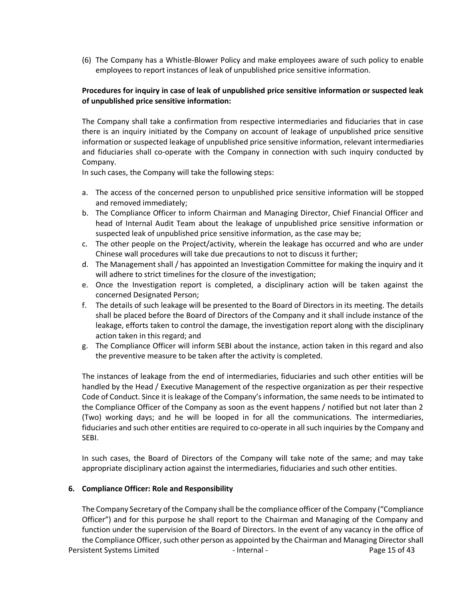(6) The Company has a Whistle-Blower Policy and make employees aware of such policy to enable employees to report instances of leak of unpublished price sensitive information.

## **Procedures for inquiry in case of leak of unpublished price sensitive information or suspected leak of unpublished price sensitive information:**

The Company shall take a confirmation from respective intermediaries and fiduciaries that in case there is an inquiry initiated by the Company on account of leakage of unpublished price sensitive information or suspected leakage of unpublished price sensitive information, relevant intermediaries and fiduciaries shall co-operate with the Company in connection with such inquiry conducted by Company.

In such cases, the Company will take the following steps:

- a. The access of the concerned person to unpublished price sensitive information will be stopped and removed immediately;
- b. The Compliance Officer to inform Chairman and Managing Director, Chief Financial Officer and head of Internal Audit Team about the leakage of unpublished price sensitive information or suspected leak of unpublished price sensitive information, as the case may be;
- c. The other people on the Project/activity, wherein the leakage has occurred and who are under Chinese wall procedures will take due precautions to not to discuss it further;
- d. The Management shall / has appointed an Investigation Committee for making the inquiry and it will adhere to strict timelines for the closure of the investigation;
- e. Once the Investigation report is completed, a disciplinary action will be taken against the concerned Designated Person;
- f. The details of such leakage will be presented to the Board of Directors in its meeting. The details shall be placed before the Board of Directors of the Company and it shall include instance of the leakage, efforts taken to control the damage, the investigation report along with the disciplinary action taken in this regard; and
- g. The Compliance Officer will inform SEBI about the instance, action taken in this regard and also the preventive measure to be taken after the activity is completed.

The instances of leakage from the end of intermediaries, fiduciaries and such other entities will be handled by the Head / Executive Management of the respective organization as per their respective Code of Conduct. Since it is leakage of the Company's information, the same needs to be intimated to the Compliance Officer of the Company as soon as the event happens / notified but not later than 2 (Two) working days; and he will be looped in for all the communications. The intermediaries, fiduciaries and such other entities are required to co-operate in all such inquiries by the Company and SEBI.

In such cases, the Board of Directors of the Company will take note of the same; and may take appropriate disciplinary action against the intermediaries, fiduciaries and such other entities.

### <span id="page-14-0"></span>**6. Compliance Officer: Role and Responsibility**

Persistent Systems Limited The Contract of Austral - The Page 15 of 43 The Company Secretary of the Company shall be the compliance officer of the Company ("Compliance Officer") and for this purpose he shall report to the Chairman and Managing of the Company and function under the supervision of the Board of Directors. In the event of any vacancy in the office of the Compliance Officer, such other person as appointed by the Chairman and Managing Director shall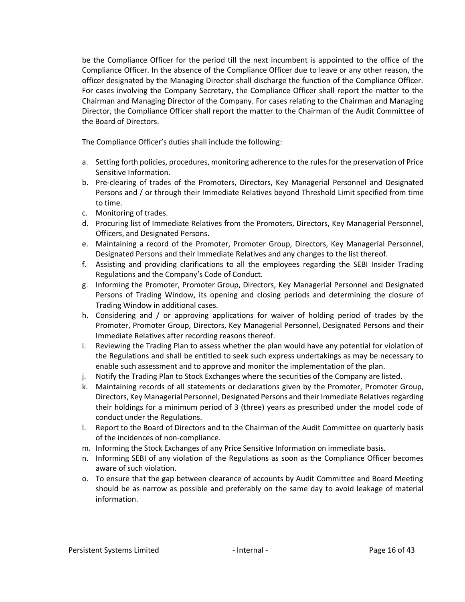be the Compliance Officer for the period till the next incumbent is appointed to the office of the Compliance Officer. In the absence of the Compliance Officer due to leave or any other reason, the officer designated by the Managing Director shall discharge the function of the Compliance Officer. For cases involving the Company Secretary, the Compliance Officer shall report the matter to the Chairman and Managing Director of the Company. For cases relating to the Chairman and Managing Director, the Compliance Officer shall report the matter to the Chairman of the Audit Committee of the Board of Directors.

The Compliance Officer's duties shall include the following:

- a. Setting forth policies, procedures, monitoring adherence to the rules for the preservation of Price Sensitive Information.
- b. Pre-clearing of trades of the Promoters, Directors, Key Managerial Personnel and Designated Persons and / or through their Immediate Relatives beyond Threshold Limit specified from time to time.
- c. Monitoring of trades.
- d. Procuring list of Immediate Relatives from the Promoters, Directors, Key Managerial Personnel, Officers, and Designated Persons.
- e. Maintaining a record of the Promoter, Promoter Group, Directors, Key Managerial Personnel, Designated Persons and their Immediate Relatives and any changes to the list thereof.
- f. Assisting and providing clarifications to all the employees regarding the SEBI Insider Trading Regulations and the Company's Code of Conduct.
- g. Informing the Promoter, Promoter Group, Directors, Key Managerial Personnel and Designated Persons of Trading Window, its opening and closing periods and determining the closure of Trading Window in additional cases.
- h. Considering and / or approving applications for waiver of holding period of trades by the Promoter, Promoter Group, Directors, Key Managerial Personnel, Designated Persons and their Immediate Relatives after recording reasons thereof.
- i. Reviewing the Trading Plan to assess whether the plan would have any potential for violation of the Regulations and shall be entitled to seek such express undertakings as may be necessary to enable such assessment and to approve and monitor the implementation of the plan.
- j. Notify the Trading Plan to Stock Exchanges where the securities of the Company are listed.
- k. Maintaining records of all statements or declarations given by the Promoter, Promoter Group, Directors, Key Managerial Personnel, Designated Persons and their Immediate Relatives regarding their holdings for a minimum period of 3 (three) years as prescribed under the model code of conduct under the Regulations.
- l. Report to the Board of Directors and to the Chairman of the Audit Committee on quarterly basis of the incidences of non-compliance.
- m. Informing the Stock Exchanges of any Price Sensitive Information on immediate basis.
- n. Informing SEBI of any violation of the Regulations as soon as the Compliance Officer becomes aware of such violation.
- o. To ensure that the gap between clearance of accounts by Audit Committee and Board Meeting should be as narrow as possible and preferably on the same day to avoid leakage of material information.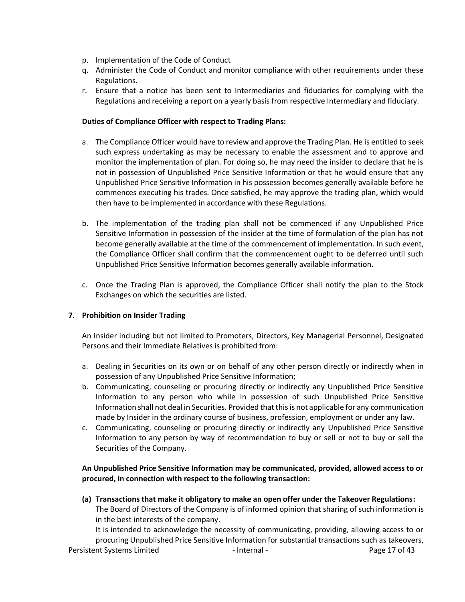- p. Implementation of the Code of Conduct
- q. Administer the Code of Conduct and monitor compliance with other requirements under these Regulations.
- r. Ensure that a notice has been sent to Intermediaries and fiduciaries for complying with the Regulations and receiving a report on a yearly basis from respective Intermediary and fiduciary.

## **Duties of Compliance Officer with respect to Trading Plans:**

- a. The Compliance Officer would have to review and approve the Trading Plan. He is entitled to seek such express undertaking as may be necessary to enable the assessment and to approve and monitor the implementation of plan. For doing so, he may need the insider to declare that he is not in possession of Unpublished Price Sensitive Information or that he would ensure that any Unpublished Price Sensitive Information in his possession becomes generally available before he commences executing his trades. Once satisfied, he may approve the trading plan, which would then have to be implemented in accordance with these Regulations.
- b. The implementation of the trading plan shall not be commenced if any Unpublished Price Sensitive Information in possession of the insider at the time of formulation of the plan has not become generally available at the time of the commencement of implementation. In such event, the Compliance Officer shall confirm that the commencement ought to be deferred until such Unpublished Price Sensitive Information becomes generally available information.
- c. Once the Trading Plan is approved, the Compliance Officer shall notify the plan to the Stock Exchanges on which the securities are listed.

# <span id="page-16-0"></span>**7. Prohibition on Insider Trading**

An Insider including but not limited to Promoters, Directors, Key Managerial Personnel, Designated Persons and their Immediate Relatives is prohibited from:

- a. Dealing in Securities on its own or on behalf of any other person directly or indirectly when in possession of any Unpublished Price Sensitive Information;
- b. Communicating, counseling or procuring directly or indirectly any Unpublished Price Sensitive Information to any person who while in possession of such Unpublished Price Sensitive Information shall not deal in Securities. Provided that this is not applicable for any communication made by Insider in the ordinary course of business, profession, employment or under any law.
- c. Communicating, counseling or procuring directly or indirectly any Unpublished Price Sensitive Information to any person by way of recommendation to buy or sell or not to buy or sell the Securities of the Company.

## **An Unpublished Price Sensitive Information may be communicated, provided, allowed access to or procured, in connection with respect to the following transaction:**

**(a) Transactions that make it obligatory to make an open offer under the Takeover Regulations:** The Board of Directors of the Company is of informed opinion that sharing of such information is in the best interests of the company.

It is intended to acknowledge the necessity of communicating, providing, allowing access to or procuring Unpublished Price Sensitive Information for substantial transactions such as takeovers,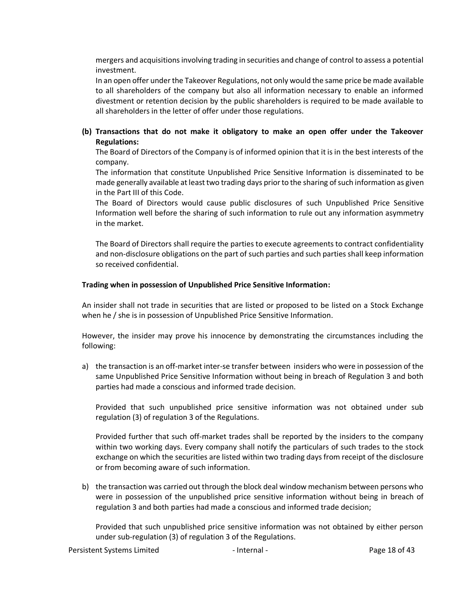mergers and acquisitions involving trading in securities and change of control to assess a potential investment.

In an open offer under the Takeover Regulations, not only would the same price be made available to all shareholders of the company but also all information necessary to enable an informed divestment or retention decision by the public shareholders is required to be made available to all shareholders in the letter of offer under those regulations.

# **(b) Transactions that do not make it obligatory to make an open offer under the Takeover Regulations:**

The Board of Directors of the Company is of informed opinion that it is in the best interests of the company.

The information that constitute Unpublished Price Sensitive Information is disseminated to be made generally available at least two trading days prior to the sharing of such information as given in the Part III of this Code.

The Board of Directors would cause public disclosures of such Unpublished Price Sensitive Information well before the sharing of such information to rule out any information asymmetry in the market.

The Board of Directors shall require the parties to execute agreements to contract confidentiality and non-disclosure obligations on the part of such parties and such parties shall keep information so received confidential.

### **Trading when in possession of Unpublished Price Sensitive Information:**

An insider shall not trade in securities that are listed or proposed to be listed on a Stock Exchange when he / she is in possession of Unpublished Price Sensitive Information.

However, the insider may prove his innocence by demonstrating the circumstances including the following:

a) the transaction is an off-market inter-se transfer between insiders who were in possession of the same Unpublished Price Sensitive Information without being in breach of Regulation 3 and both parties had made a conscious and informed trade decision.

Provided that such unpublished price sensitive information was not obtained under sub regulation (3) of regulation 3 of the Regulations.

Provided further that such off-market trades shall be reported by the insiders to the company within two working days. Every company shall notify the particulars of such trades to the stock exchange on which the securities are listed within two trading days from receipt of the disclosure or from becoming aware of such information.

b) the transaction was carried out through the block deal window mechanism between persons who were in possession of the unpublished price sensitive information without being in breach of regulation 3 and both parties had made a conscious and informed trade decision;

Provided that such unpublished price sensitive information was not obtained by either person under sub-regulation (3) of regulation 3 of the Regulations.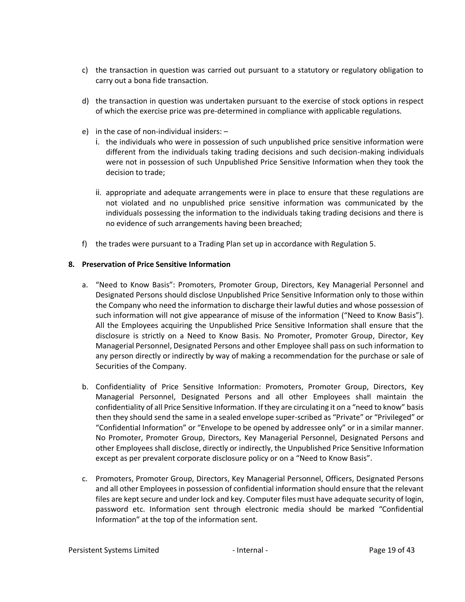- c) the transaction in question was carried out pursuant to a statutory or regulatory obligation to carry out a bona fide transaction.
- d) the transaction in question was undertaken pursuant to the exercise of stock options in respect of which the exercise price was pre-determined in compliance with applicable regulations.
- e) in the case of non-individual insiders:
	- i. the individuals who were in possession of such unpublished price sensitive information were different from the individuals taking trading decisions and such decision-making individuals were not in possession of such Unpublished Price Sensitive Information when they took the decision to trade;
	- ii. appropriate and adequate arrangements were in place to ensure that these regulations are not violated and no unpublished price sensitive information was communicated by the individuals possessing the information to the individuals taking trading decisions and there is no evidence of such arrangements having been breached;
- f) the trades were pursuant to a Trading Plan set up in accordance with Regulation 5.

# <span id="page-18-0"></span>**8. Preservation of Price Sensitive Information**

- a. "Need to Know Basis": Promoters, Promoter Group, Directors, Key Managerial Personnel and Designated Persons should disclose Unpublished Price Sensitive Information only to those within the Company who need the information to discharge their lawful duties and whose possession of such information will not give appearance of misuse of the information ("Need to Know Basis"). All the Employees acquiring the Unpublished Price Sensitive Information shall ensure that the disclosure is strictly on a Need to Know Basis. No Promoter, Promoter Group, Director, Key Managerial Personnel, Designated Persons and other Employee shall pass on such information to any person directly or indirectly by way of making a recommendation for the purchase or sale of Securities of the Company.
- b. Confidentiality of Price Sensitive Information: Promoters, Promoter Group, Directors, Key Managerial Personnel, Designated Persons and all other Employees shall maintain the confidentiality of all Price Sensitive Information. If they are circulating it on a "need to know" basis then they should send the same in a sealed envelope super-scribed as "Private" or "Privileged" or "Confidential Information" or "Envelope to be opened by addressee only" or in a similar manner. No Promoter, Promoter Group, Directors, Key Managerial Personnel, Designated Persons and other Employees shall disclose, directly or indirectly, the Unpublished Price Sensitive Information except as per prevalent corporate disclosure policy or on a "Need to Know Basis".
- c. Promoters, Promoter Group, Directors, Key Managerial Personnel, Officers, Designated Persons and all other Employees in possession of confidential information should ensure that the relevant files are kept secure and under lock and key. Computer files must have adequate security of login, password etc. Information sent through electronic media should be marked "Confidential Information" at the top of the information sent.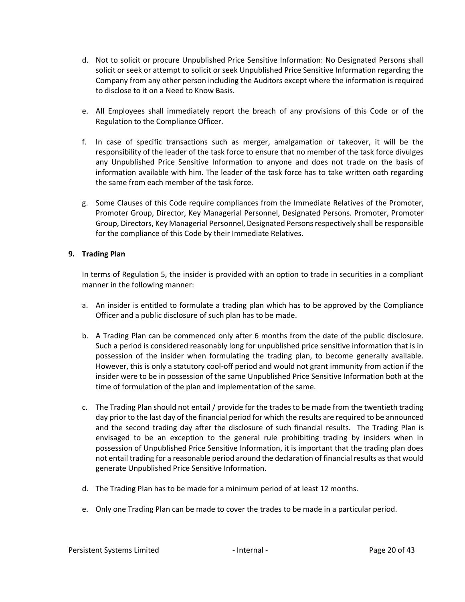- d. Not to solicit or procure Unpublished Price Sensitive Information: No Designated Persons shall solicit or seek or attempt to solicit or seek Unpublished Price Sensitive Information regarding the Company from any other person including the Auditors except where the information is required to disclose to it on a Need to Know Basis.
- e. All Employees shall immediately report the breach of any provisions of this Code or of the Regulation to the Compliance Officer.
- f. In case of specific transactions such as merger, amalgamation or takeover, it will be the responsibility of the leader of the task force to ensure that no member of the task force divulges any Unpublished Price Sensitive Information to anyone and does not trade on the basis of information available with him. The leader of the task force has to take written oath regarding the same from each member of the task force.
- g. Some Clauses of this Code require compliances from the Immediate Relatives of the Promoter, Promoter Group, Director, Key Managerial Personnel, Designated Persons. Promoter, Promoter Group, Directors, Key Managerial Personnel, Designated Persons respectively shall be responsible for the compliance of this Code by their Immediate Relatives.

## <span id="page-19-0"></span>**9. Trading Plan**

In terms of Regulation 5, the insider is provided with an option to trade in securities in a compliant manner in the following manner:

- a. An insider is entitled to formulate a trading plan which has to be approved by the Compliance Officer and a public disclosure of such plan has to be made.
- b. A Trading Plan can be commenced only after 6 months from the date of the public disclosure. Such a period is considered reasonably long for unpublished price sensitive information that is in possession of the insider when formulating the trading plan, to become generally available. However, this is only a statutory cool-off period and would not grant immunity from action if the insider were to be in possession of the same Unpublished Price Sensitive Information both at the time of formulation of the plan and implementation of the same.
- c. The Trading Plan should not entail / provide for the trades to be made from the twentieth trading day prior to the last day of the financial period for which the results are required to be announced and the second trading day after the disclosure of such financial results. The Trading Plan is envisaged to be an exception to the general rule prohibiting trading by insiders when in possession of Unpublished Price Sensitive Information, it is important that the trading plan does not entail trading for a reasonable period around the declaration of financial results as that would generate Unpublished Price Sensitive Information.
- d. The Trading Plan has to be made for a minimum period of at least 12 months.
- e. Only one Trading Plan can be made to cover the trades to be made in a particular period.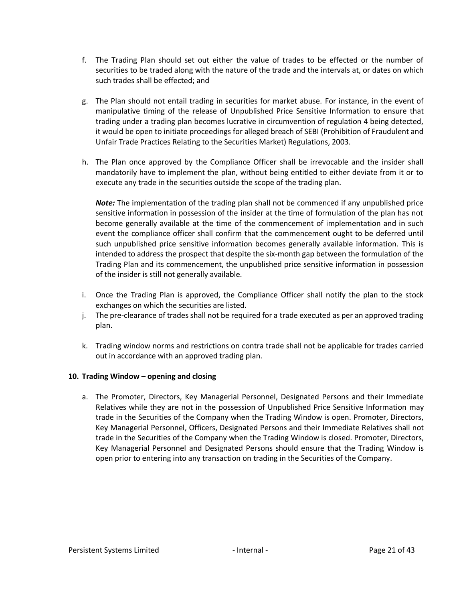- f. The Trading Plan should set out either the value of trades to be effected or the number of securities to be traded along with the nature of the trade and the intervals at, or dates on which such trades shall be effected; and
- g. The Plan should not entail trading in securities for market abuse. For instance, in the event of manipulative timing of the release of Unpublished Price Sensitive Information to ensure that trading under a trading plan becomes lucrative in circumvention of regulation 4 being detected, it would be open to initiate proceedings for alleged breach of SEBI (Prohibition of Fraudulent and Unfair Trade Practices Relating to the Securities Market) Regulations, 2003.
- h. The Plan once approved by the Compliance Officer shall be irrevocable and the insider shall mandatorily have to implement the plan, without being entitled to either deviate from it or to execute any trade in the securities outside the scope of the trading plan.

*Note:* The implementation of the trading plan shall not be commenced if any unpublished price sensitive information in possession of the insider at the time of formulation of the plan has not become generally available at the time of the commencement of implementation and in such event the compliance officer shall confirm that the commencement ought to be deferred until such unpublished price sensitive information becomes generally available information. This is intended to address the prospect that despite the six-month gap between the formulation of the Trading Plan and its commencement, the unpublished price sensitive information in possession of the insider is still not generally available.

- i. Once the Trading Plan is approved, the Compliance Officer shall notify the plan to the stock exchanges on which the securities are listed.
- j. The pre-clearance of trades shall not be required for a trade executed as per an approved trading plan.
- k. Trading window norms and restrictions on contra trade shall not be applicable for trades carried out in accordance with an approved trading plan.

# <span id="page-20-0"></span>**10. Trading Window – opening and closing**

a. The Promoter, Directors, Key Managerial Personnel, Designated Persons and their Immediate Relatives while they are not in the possession of Unpublished Price Sensitive Information may trade in the Securities of the Company when the Trading Window is open. Promoter, Directors, Key Managerial Personnel, Officers, Designated Persons and their Immediate Relatives shall not trade in the Securities of the Company when the Trading Window is closed. Promoter, Directors, Key Managerial Personnel and Designated Persons should ensure that the Trading Window is open prior to entering into any transaction on trading in the Securities of the Company.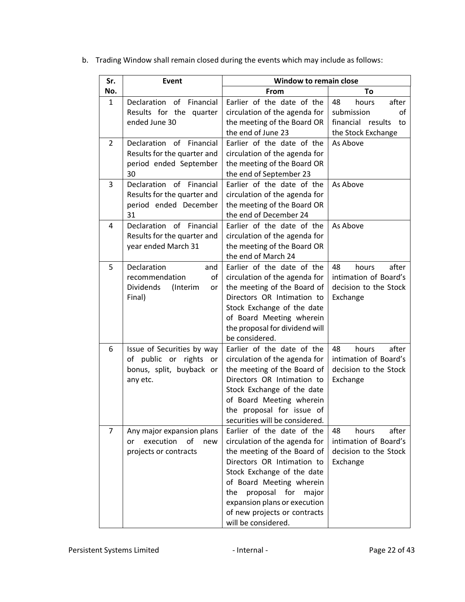| Sr.            | Event                                                                                         | Window to remain close                                                                                                                                                                                                                                                                                       |                                                                                           |  |
|----------------|-----------------------------------------------------------------------------------------------|--------------------------------------------------------------------------------------------------------------------------------------------------------------------------------------------------------------------------------------------------------------------------------------------------------------|-------------------------------------------------------------------------------------------|--|
| No.            |                                                                                               | From                                                                                                                                                                                                                                                                                                         | To                                                                                        |  |
| $\mathbf{1}$   | <b>Declaration</b><br>of<br>Financial<br>Results for the quarter<br>ended June 30             | Earlier of the date of the<br>circulation of the agenda for<br>the meeting of the Board OR<br>the end of June 23                                                                                                                                                                                             | after<br>48<br>hours<br>submission<br>οf<br>financial results<br>to<br>the Stock Exchange |  |
| $\overline{2}$ | Declaration<br>of<br>Financial<br>Results for the quarter and<br>period ended September<br>30 | Earlier of the date of the<br>circulation of the agenda for<br>the meeting of the Board OR<br>the end of September 23                                                                                                                                                                                        | As Above                                                                                  |  |
| 3              | Declaration<br>of<br>Financial<br>Results for the quarter and<br>period ended December<br>31  | Earlier of the date of the<br>circulation of the agenda for<br>the meeting of the Board OR<br>the end of December 24                                                                                                                                                                                         | As Above                                                                                  |  |
| 4              | Declaration of<br>Financial<br>Results for the quarter and<br>year ended March 31             | Earlier of the date of the<br>circulation of the agenda for<br>the meeting of the Board OR<br>the end of March 24                                                                                                                                                                                            | As Above                                                                                  |  |
| 5              | Declaration<br>and<br>recommendation<br>οf<br><b>Dividends</b><br>(Interim<br>or<br>Final)    | Earlier of the date of the<br>circulation of the agenda for<br>the meeting of the Board of<br>Directors OR Intimation to<br>Stock Exchange of the date<br>of Board Meeting wherein<br>the proposal for dividend will<br>be considered.                                                                       | hours<br>after<br>48<br>intimation of Board's<br>decision to the Stock<br>Exchange        |  |
| 6              | Issue of Securities by way<br>of public or rights or<br>bonus, split, buyback or<br>any etc.  | Earlier of the date of the<br>circulation of the agenda for<br>the meeting of the Board of<br>Directors OR Intimation to<br>Stock Exchange of the date<br>of Board Meeting wherein<br>the proposal for issue of<br>securities will be considered.                                                            | after<br>hours<br>48<br>intimation of Board's<br>decision to the Stock<br>Exchange        |  |
| 7              | Any major expansion plans<br>of<br>execution<br>new<br>or<br>projects or contracts            | Earlier of the date of the<br>circulation of the agenda for<br>the meeting of the Board of<br>Directors OR Intimation to<br>Stock Exchange of the date<br>of Board Meeting wherein<br>proposal<br>for<br>the<br>major<br>expansion plans or execution<br>of new projects or contracts<br>will be considered. | 48<br>after<br>hours<br>intimation of Board's<br>decision to the Stock<br>Exchange        |  |

b. Trading Window shall remain closed during the events which may include as follows: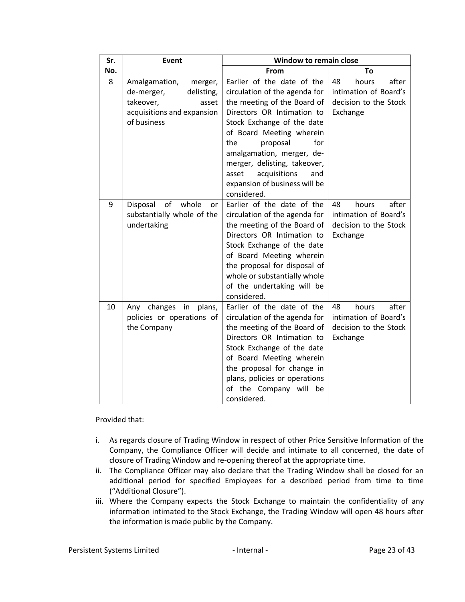| Sr. | Event                                                                                                                   | <b>Window to remain close</b>                                                                                                                                                                                                                                                                                                                             |                                                                                    |  |
|-----|-------------------------------------------------------------------------------------------------------------------------|-----------------------------------------------------------------------------------------------------------------------------------------------------------------------------------------------------------------------------------------------------------------------------------------------------------------------------------------------------------|------------------------------------------------------------------------------------|--|
| No. |                                                                                                                         | From                                                                                                                                                                                                                                                                                                                                                      | To                                                                                 |  |
| 8   | Amalgamation,<br>merger,<br>delisting,<br>de-merger,<br>takeover,<br>asset<br>acquisitions and expansion<br>of business | Earlier of the date of the<br>circulation of the agenda for<br>the meeting of the Board of<br>Directors OR Intimation to<br>Stock Exchange of the date<br>of Board Meeting wherein<br>the<br>proposal<br>for<br>amalgamation, merger, de-<br>merger, delisting, takeover,<br>acquisitions<br>asset<br>and<br>expansion of business will be<br>considered. | after<br>48<br>hours<br>intimation of Board's<br>decision to the Stock<br>Exchange |  |
| 9   | of<br>whole<br>Disposal<br>or<br>substantially whole of the<br>undertaking                                              | Earlier of the date of the<br>circulation of the agenda for<br>the meeting of the Board of<br>Directors OR Intimation to<br>Stock Exchange of the date<br>of Board Meeting wherein<br>the proposal for disposal of<br>whole or substantially whole<br>of the undertaking will be<br>considered.                                                           | after<br>48<br>hours<br>intimation of Board's<br>decision to the Stock<br>Exchange |  |
| 10  | in<br>changes<br>plans,<br>Any<br>policies or operations of<br>the Company                                              | Earlier of the date of the<br>circulation of the agenda for<br>the meeting of the Board of<br>Directors OR Intimation to<br>Stock Exchange of the date<br>of Board Meeting wherein<br>the proposal for change in<br>plans, policies or operations<br>of the Company will<br>be<br>considered.                                                             | after<br>48<br>hours<br>intimation of Board's<br>decision to the Stock<br>Exchange |  |

Provided that:

- i. As regards closure of Trading Window in respect of other Price Sensitive Information of the Company, the Compliance Officer will decide and intimate to all concerned, the date of closure of Trading Window and re-opening thereof at the appropriate time.
- ii. The Compliance Officer may also declare that the Trading Window shall be closed for an additional period for specified Employees for a described period from time to time ("Additional Closure").
- iii. Where the Company expects the Stock Exchange to maintain the confidentiality of any information intimated to the Stock Exchange, the Trading Window will open 48 hours after the information is made public by the Company.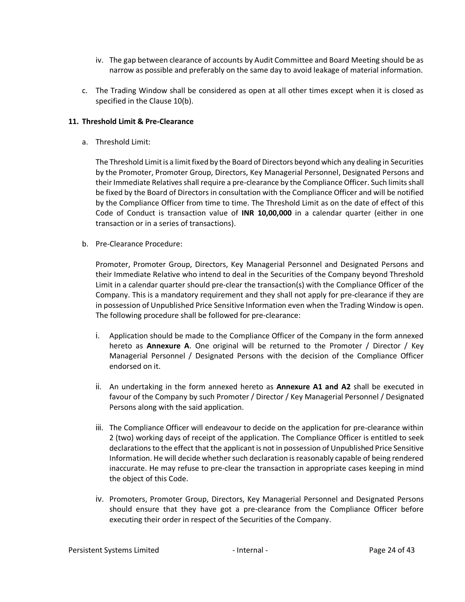- iv. The gap between clearance of accounts by Audit Committee and Board Meeting should be as narrow as possible and preferably on the same day to avoid leakage of material information.
- c. The Trading Window shall be considered as open at all other times except when it is closed as specified in the Clause 10(b).

## <span id="page-23-0"></span>**11. Threshold Limit & Pre-Clearance**

a. Threshold Limit:

The Threshold Limit is a limit fixed by the Board of Directors beyond which any dealing in Securities by the Promoter, Promoter Group, Directors, Key Managerial Personnel, Designated Persons and their Immediate Relatives shall require a pre-clearance by the Compliance Officer. Such limits shall be fixed by the Board of Directors in consultation with the Compliance Officer and will be notified by the Compliance Officer from time to time. The Threshold Limit as on the date of effect of this Code of Conduct is transaction value of **INR 10,00,000** in a calendar quarter (either in one transaction or in a series of transactions).

b. Pre-Clearance Procedure:

Promoter, Promoter Group, Directors, Key Managerial Personnel and Designated Persons and their Immediate Relative who intend to deal in the Securities of the Company beyond Threshold Limit in a calendar quarter should pre-clear the transaction(s) with the Compliance Officer of the Company. This is a mandatory requirement and they shall not apply for pre-clearance if they are in possession of Unpublished Price Sensitive Information even when the Trading Window is open. The following procedure shall be followed for pre-clearance:

- i. Application should be made to the Compliance Officer of the Company in the form annexed hereto as **Annexure A**. One original will be returned to the Promoter / Director / Key Managerial Personnel / Designated Persons with the decision of the Compliance Officer endorsed on it.
- ii. An undertaking in the form annexed hereto as **Annexure A1 and A2** shall be executed in favour of the Company by such Promoter / Director / Key Managerial Personnel / Designated Persons along with the said application.
- iii. The Compliance Officer will endeavour to decide on the application for pre-clearance within 2 (two) working days of receipt of the application. The Compliance Officer is entitled to seek declarations to the effect that the applicant is not in possession of Unpublished Price Sensitive Information. He will decide whether such declaration is reasonably capable of being rendered inaccurate. He may refuse to pre-clear the transaction in appropriate cases keeping in mind the object of this Code.
- iv. Promoters, Promoter Group, Directors, Key Managerial Personnel and Designated Persons should ensure that they have got a pre-clearance from the Compliance Officer before executing their order in respect of the Securities of the Company.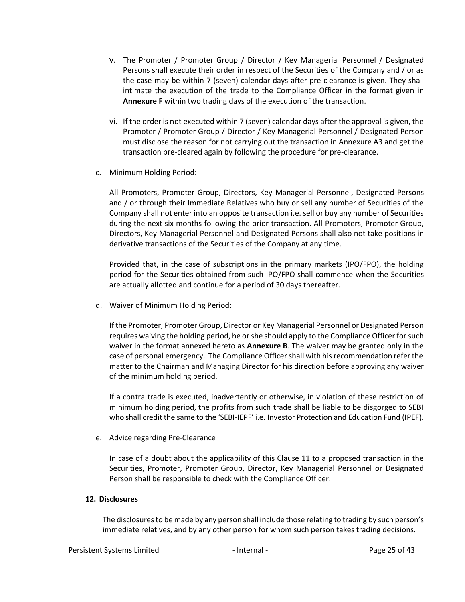- v. The Promoter / Promoter Group / Director / Key Managerial Personnel / Designated Persons shall execute their order in respect of the Securities of the Company and / or as the case may be within 7 (seven) calendar days after pre-clearance is given. They shall intimate the execution of the trade to the Compliance Officer in the format given in **Annexure F** within two trading days of the execution of the transaction.
- vi. If the order is not executed within 7 (seven) calendar days after the approval is given, the Promoter / Promoter Group / Director / Key Managerial Personnel / Designated Person must disclose the reason for not carrying out the transaction in Annexure A3 and get the transaction pre-cleared again by following the procedure for pre-clearance.
- c. Minimum Holding Period:

All Promoters, Promoter Group, Directors, Key Managerial Personnel, Designated Persons and / or through their Immediate Relatives who buy or sell any number of Securities of the Company shall not enter into an opposite transaction i.e. sell or buy any number of Securities during the next six months following the prior transaction. All Promoters, Promoter Group, Directors, Key Managerial Personnel and Designated Persons shall also not take positions in derivative transactions of the Securities of the Company at any time.

Provided that, in the case of subscriptions in the primary markets (IPO/FPO), the holding period for the Securities obtained from such IPO/FPO shall commence when the Securities are actually allotted and continue for a period of 30 days thereafter.

d. Waiver of Minimum Holding Period:

If the Promoter, Promoter Group, Director or Key Managerial Personnel or Designated Person requires waiving the holding period, he or she should apply to the Compliance Officer for such waiver in the format annexed hereto as **Annexure B**. The waiver may be granted only in the case of personal emergency. The Compliance Officer shall with his recommendation refer the matter to the Chairman and Managing Director for his direction before approving any waiver of the minimum holding period.

If a contra trade is executed, inadvertently or otherwise, in violation of these restriction of minimum holding period, the profits from such trade shall be liable to be disgorged to SEBI who shall credit the same to the 'SEBI-IEPF' i.e. Investor Protection and Education Fund (IPEF).

e. Advice regarding Pre-Clearance

In case of a doubt about the applicability of this Clause 11 to a proposed transaction in the Securities, Promoter, Promoter Group, Director, Key Managerial Personnel or Designated Person shall be responsible to check with the Compliance Officer.

### <span id="page-24-0"></span>**12. Disclosures**

The disclosures to be made by any person shall include those relating to trading by such person's immediate relatives, and by any other person for whom such person takes trading decisions.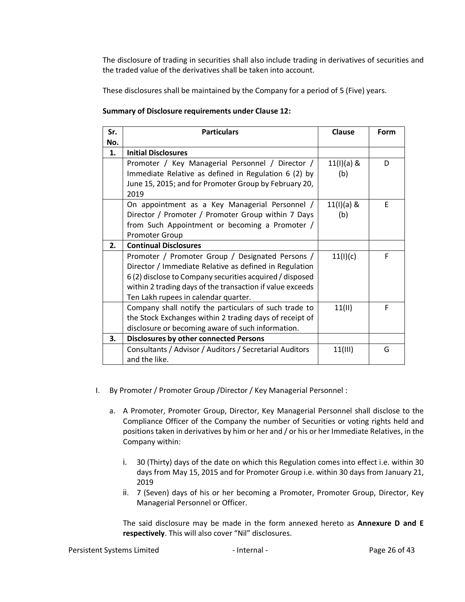The disclosure of trading in securities shall also include trading in derivatives of securities and the traded value of the derivatives shall be taken into account.

These disclosures shall be maintained by the Company for a period of 5 (Five) years.

## **Summary of Disclosure requirements under Clause 12:**

| Sr. | <b>Particulars</b>                                                                                                                                                                                                                                                         | Clause              | Form |
|-----|----------------------------------------------------------------------------------------------------------------------------------------------------------------------------------------------------------------------------------------------------------------------------|---------------------|------|
| No. |                                                                                                                                                                                                                                                                            |                     |      |
| 1.  | <b>Initial Disclosures</b>                                                                                                                                                                                                                                                 |                     |      |
|     | Promoter / Key Managerial Personnel / Director /<br>Immediate Relative as defined in Regulation 6 (2) by<br>June 15, 2015; and for Promoter Group by February 20,<br>2019                                                                                                  | $11(1)(a)$ &<br>(b) | D    |
|     | On appointment as a Key Managerial Personnel /<br>Director / Promoter / Promoter Group within 7 Days<br>from Such Appointment or becoming a Promoter /<br><b>Promoter Group</b>                                                                                            | $11(1)(a)$ &<br>(b) | E    |
| 2.  | <b>Continual Disclosures</b>                                                                                                                                                                                                                                               |                     |      |
|     | Promoter / Promoter Group / Designated Persons /<br>Director / Immediate Relative as defined in Regulation<br>6(2) disclose to Company securities acquired / disposed<br>within 2 trading days of the transaction if value exceeds<br>Ten Lakh rupees in calendar quarter. | 11(1)(c)            | F    |
|     | Company shall notify the particulars of such trade to<br>the Stock Exchanges within 2 trading days of receipt of<br>disclosure or becoming aware of such information.                                                                                                      | 11(11)              | F    |
| 3.  | <b>Disclosures by other connected Persons</b>                                                                                                                                                                                                                              |                     |      |
|     | Consultants / Advisor / Auditors / Secretarial Auditors<br>and the like.                                                                                                                                                                                                   | 11(III)             | G    |

- I. By Promoter / Promoter Group /Director / Key Managerial Personnel :
	- a. A Promoter, Promoter Group, Director, Key Managerial Personnel shall disclose to the Compliance Officer of the Company the number of Securities or voting rights held and positions taken in derivatives by him or her and / or his or her Immediate Relatives, in the Company within:
		- i. 30 (Thirty) days of the date on which this Regulation comes into effect i.e. within 30 days from May 15, 2015 and for Promoter Group i.e. within 30 days from January 21, 2019
		- ii. 7 (Seven) days of his or her becoming a Promoter, Promoter Group, Director, Key Managerial Personnel or Officer.

The said disclosure may be made in the form annexed hereto as **Annexure D and E respectively**. This will also cover "Nil" disclosures.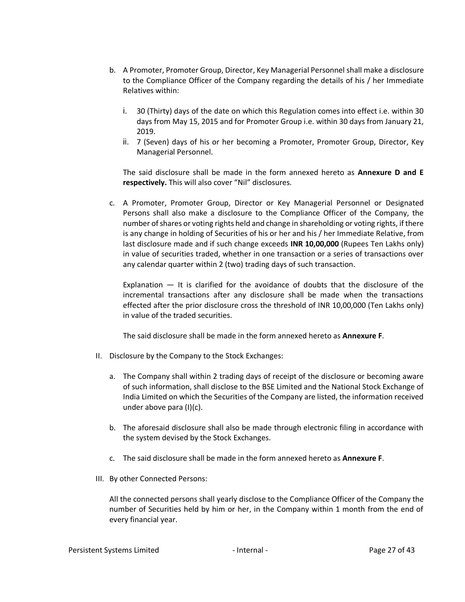- b. A Promoter, Promoter Group, Director, Key Managerial Personnel shall make a disclosure to the Compliance Officer of the Company regarding the details of his / her Immediate Relatives within:
	- i. 30 (Thirty) days of the date on which this Regulation comes into effect i.e. within 30 days from May 15, 2015 and for Promoter Group i.e. within 30 days from January 21, 2019.
	- ii. 7 (Seven) days of his or her becoming a Promoter, Promoter Group, Director, Key Managerial Personnel.

The said disclosure shall be made in the form annexed hereto as **Annexure D and E respectively.** This will also cover "Nil" disclosures.

c. A Promoter, Promoter Group, Director or Key Managerial Personnel or Designated Persons shall also make a disclosure to the Compliance Officer of the Company, the number of shares or voting rights held and change in shareholding or voting rights, if there is any change in holding of Securities of his or her and his / her Immediate Relative, from last disclosure made and if such change exceeds **INR 10,00,000** (Rupees Ten Lakhs only) in value of securities traded, whether in one transaction or a series of transactions over any calendar quarter within 2 (two) trading days of such transaction.

Explanation — It is clarified for the avoidance of doubts that the disclosure of the incremental transactions after any disclosure shall be made when the transactions effected after the prior disclosure cross the threshold of INR 10,00,000 (Ten Lakhs only) in value of the traded securities.

The said disclosure shall be made in the form annexed hereto as **Annexure F**.

- II. Disclosure by the Company to the Stock Exchanges:
	- a. The Company shall within 2 trading days of receipt of the disclosure or becoming aware of such information, shall disclose to the BSE Limited and the National Stock Exchange of India Limited on which the Securities of the Company are listed, the information received under above para (I)(c).
	- b. The aforesaid disclosure shall also be made through electronic filing in accordance with the system devised by the Stock Exchanges.
	- c. The said disclosure shall be made in the form annexed hereto as **Annexure F**.
- III. By other Connected Persons:

All the connected persons shall yearly disclose to the Compliance Officer of the Company the number of Securities held by him or her, in the Company within 1 month from the end of every financial year.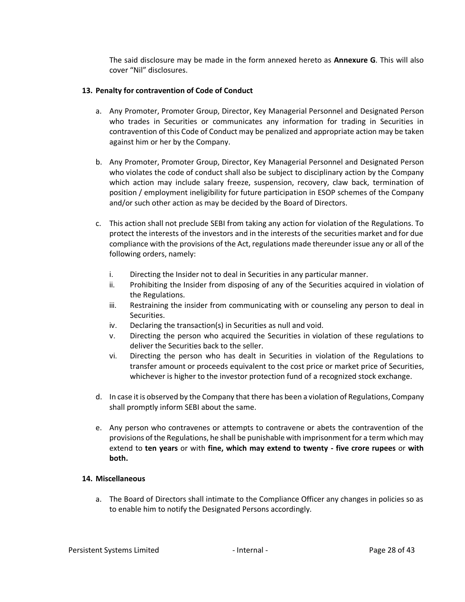The said disclosure may be made in the form annexed hereto as **Annexure G**. This will also cover "Nil" disclosures.

## <span id="page-27-0"></span>**13. Penalty for contravention of Code of Conduct**

- a. Any Promoter, Promoter Group, Director, Key Managerial Personnel and Designated Person who trades in Securities or communicates any information for trading in Securities in contravention of this Code of Conduct may be penalized and appropriate action may be taken against him or her by the Company.
- b. Any Promoter, Promoter Group, Director, Key Managerial Personnel and Designated Person who violates the code of conduct shall also be subject to disciplinary action by the Company which action may include salary freeze, suspension, recovery, claw back, termination of position / employment ineligibility for future participation in ESOP schemes of the Company and/or such other action as may be decided by the Board of Directors.
- c. This action shall not preclude SEBI from taking any action for violation of the Regulations. To protect the interests of the investors and in the interests of the securities market and for due compliance with the provisions of the Act, regulations made thereunder issue any or all of the following orders, namely:
	- i. Directing the Insider not to deal in Securities in any particular manner.
	- ii. Prohibiting the Insider from disposing of any of the Securities acquired in violation of the Regulations.
	- iii. Restraining the insider from communicating with or counseling any person to deal in Securities.
	- iv. Declaring the transaction(s) in Securities as null and void.
	- v. Directing the person who acquired the Securities in violation of these regulations to deliver the Securities back to the seller.
	- vi. Directing the person who has dealt in Securities in violation of the Regulations to transfer amount or proceeds equivalent to the cost price or market price of Securities, whichever is higher to the investor protection fund of a recognized stock exchange.
- d. In case it is observed by the Company that there has been a violation of Regulations, Company shall promptly inform SEBI about the same.
- e. Any person who contravenes or attempts to contravene or abets the contravention of the provisions of the Regulations, he shall be punishable with imprisonment for a term which may extend to **ten years** or with **fine, which may extend to twenty - five crore rupees** or **with both.**

### <span id="page-27-1"></span>**14. Miscellaneous**

a. The Board of Directors shall intimate to the Compliance Officer any changes in policies so as to enable him to notify the Designated Persons accordingly.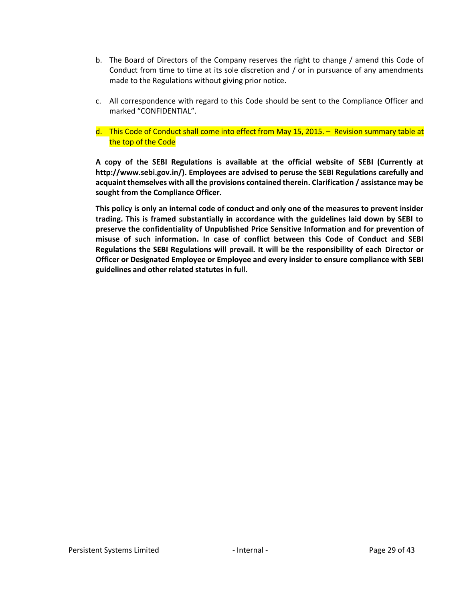- b. The Board of Directors of the Company reserves the right to change / amend this Code of Conduct from time to time at its sole discretion and / or in pursuance of any amendments made to the Regulations without giving prior notice.
- c. All correspondence with regard to this Code should be sent to the Compliance Officer and marked "CONFIDENTIAL".
- d. This Code of Conduct shall come into effect from May 15, 2015. Revision summary table at the top of the Code

**A copy of the SEBI Regulations is available at the official website of SEBI (Currently at http://www.sebi.gov.in/). Employees are advised to peruse the SEBI Regulations carefully and acquaint themselves with all the provisions contained therein. Clarification / assistance may be sought from the Compliance Officer.**

**This policy is only an internal code of conduct and only one of the measures to prevent insider trading. This is framed substantially in accordance with the guidelines laid down by SEBI to preserve the confidentiality of Unpublished Price Sensitive Information and for prevention of misuse of such information. In case of conflict between this Code of Conduct and SEBI Regulations the SEBI Regulations will prevail. It will be the responsibility of each Director or Officer or Designated Employee or Employee and every insider to ensure compliance with SEBI guidelines and other related statutes in full.**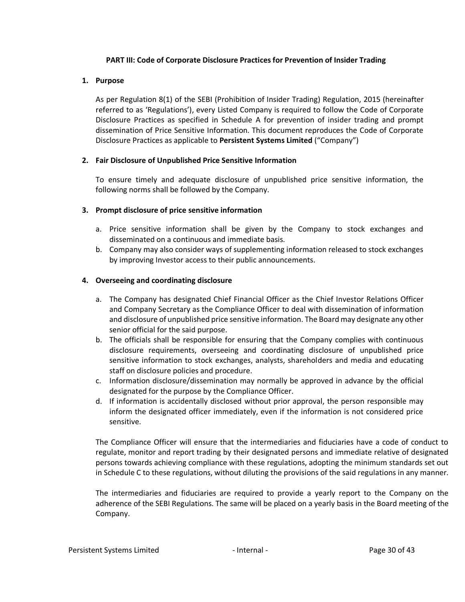### **PART III: Code of Corporate Disclosure Practices for Prevention of Insider Trading**

## <span id="page-29-1"></span><span id="page-29-0"></span>**1. Purpose**

As per Regulation 8(1) of the SEBI (Prohibition of Insider Trading) Regulation, 2015 (hereinafter referred to as 'Regulations'), every Listed Company is required to follow the Code of Corporate Disclosure Practices as specified in Schedule A for prevention of insider trading and prompt dissemination of Price Sensitive Information. This document reproduces the Code of Corporate Disclosure Practices as applicable to **Persistent Systems Limited** ("Company")

## <span id="page-29-2"></span>**2. Fair Disclosure of Unpublished Price Sensitive Information**

To ensure timely and adequate disclosure of unpublished price sensitive information, the following norms shall be followed by the Company.

## <span id="page-29-3"></span>**3. Prompt disclosure of price sensitive information**

- a. Price sensitive information shall be given by the Company to stock exchanges and disseminated on a continuous and immediate basis.
- b. Company may also consider ways of supplementing information released to stock exchanges by improving Investor access to their public announcements.

## <span id="page-29-4"></span>**4. Overseeing and coordinating disclosure**

- a. The Company has designated Chief Financial Officer as the Chief Investor Relations Officer and Company Secretary as the Compliance Officer to deal with dissemination of information and disclosure of unpublished price sensitive information. The Board may designate any other senior official for the said purpose.
- b. The officials shall be responsible for ensuring that the Company complies with continuous disclosure requirements, overseeing and coordinating disclosure of unpublished price sensitive information to stock exchanges, analysts, shareholders and media and educating staff on disclosure policies and procedure.
- c. Information disclosure/dissemination may normally be approved in advance by the official designated for the purpose by the Compliance Officer.
- d. If information is accidentally disclosed without prior approval, the person responsible may inform the designated officer immediately, even if the information is not considered price sensitive.

The Compliance Officer will ensure that the intermediaries and fiduciaries have a code of conduct to regulate, monitor and report trading by their designated persons and immediate relative of designated persons towards achieving compliance with these regulations, adopting the minimum standards set out in Schedule C to these regulations, without diluting the provisions of the said regulations in any manner.

The intermediaries and fiduciaries are required to provide a yearly report to the Company on the adherence of the SEBI Regulations. The same will be placed on a yearly basis in the Board meeting of the Company.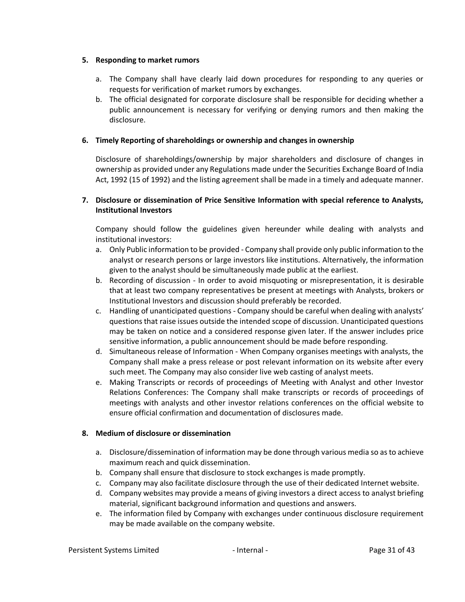### <span id="page-30-0"></span>**5. Responding to market rumors**

- a. The Company shall have clearly laid down procedures for responding to any queries or requests for verification of market rumors by exchanges.
- b. The official designated for corporate disclosure shall be responsible for deciding whether a public announcement is necessary for verifying or denying rumors and then making the disclosure.

## <span id="page-30-1"></span>**6. Timely Reporting of shareholdings or ownership and changes in ownership**

Disclosure of shareholdings/ownership by major shareholders and disclosure of changes in ownership as provided under any Regulations made under the Securities Exchange Board of India Act, 1992 (15 of 1992) and the listing agreement shall be made in a timely and adequate manner.

# <span id="page-30-2"></span>**7. Disclosure or dissemination of Price Sensitive Information with special reference to Analysts, Institutional Investors**

Company should follow the guidelines given hereunder while dealing with analysts and institutional investors:

- a. Only Public information to be provided Company shall provide only public information to the analyst or research persons or large investors like institutions. Alternatively, the information given to the analyst should be simultaneously made public at the earliest.
- b. Recording of discussion In order to avoid misquoting or misrepresentation, it is desirable that at least two company representatives be present at meetings with Analysts, brokers or Institutional Investors and discussion should preferably be recorded.
- c. Handling of unanticipated questions Company should be careful when dealing with analysts' questions that raise issues outside the intended scope of discussion. Unanticipated questions may be taken on notice and a considered response given later. If the answer includes price sensitive information, a public announcement should be made before responding.
- d. Simultaneous release of Information When Company organises meetings with analysts, the Company shall make a press release or post relevant information on its website after every such meet. The Company may also consider live web casting of analyst meets.
- e. Making Transcripts or records of proceedings of Meeting with Analyst and other Investor Relations Conferences: The Company shall make transcripts or records of proceedings of meetings with analysts and other investor relations conferences on the official website to ensure official confirmation and documentation of disclosures made.

### <span id="page-30-3"></span>**8. Medium of disclosure or dissemination**

- a. Disclosure/dissemination of information may be done through various media so as to achieve maximum reach and quick dissemination.
- b. Company shall ensure that disclosure to stock exchanges is made promptly.
- c. Company may also facilitate disclosure through the use of their dedicated Internet website.
- d. Company websites may provide a means of giving investors a direct access to analyst briefing material, significant background information and questions and answers.
- e. The information filed by Company with exchanges under continuous disclosure requirement may be made available on the company website.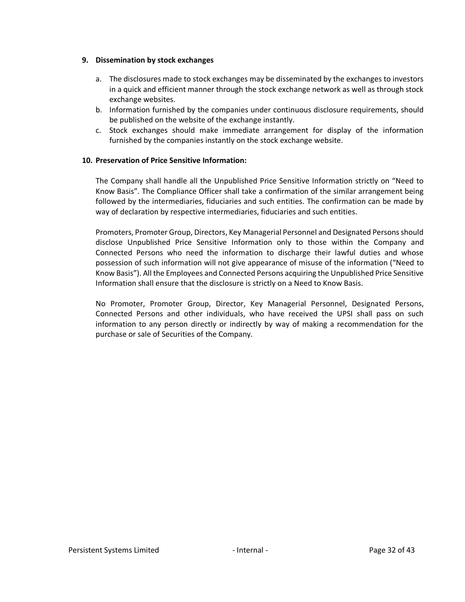### <span id="page-31-0"></span>**9. Dissemination by stock exchanges**

- a. The disclosures made to stock exchanges may be disseminated by the exchanges to investors in a quick and efficient manner through the stock exchange network as well as through stock exchange websites.
- b. Information furnished by the companies under continuous disclosure requirements, should be published on the website of the exchange instantly.
- c. Stock exchanges should make immediate arrangement for display of the information furnished by the companies instantly on the stock exchange website.

### <span id="page-31-1"></span>**10. Preservation of Price Sensitive Information:**

The Company shall handle all the Unpublished Price Sensitive Information strictly on "Need to Know Basis". The Compliance Officer shall take a confirmation of the similar arrangement being followed by the intermediaries, fiduciaries and such entities. The confirmation can be made by way of declaration by respective intermediaries, fiduciaries and such entities.

Promoters, Promoter Group, Directors, Key Managerial Personnel and Designated Persons should disclose Unpublished Price Sensitive Information only to those within the Company and Connected Persons who need the information to discharge their lawful duties and whose possession of such information will not give appearance of misuse of the information ("Need to Know Basis"). All the Employees and Connected Persons acquiring the Unpublished Price Sensitive Information shall ensure that the disclosure is strictly on a Need to Know Basis.

No Promoter, Promoter Group, Director, Key Managerial Personnel, Designated Persons, Connected Persons and other individuals, who have received the UPSI shall pass on such information to any person directly or indirectly by way of making a recommendation for the purchase or sale of Securities of the Company.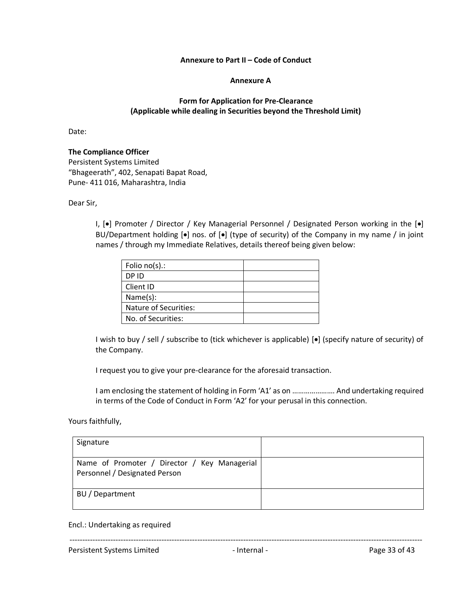#### **Annexure to Part II – Code of Conduct**

#### **Annexure A**

## **Form for Application for Pre-Clearance (Applicable while dealing in Securities beyond the Threshold Limit)**

<span id="page-32-1"></span><span id="page-32-0"></span>Date:

### **The Compliance Officer**

Persistent Systems Limited "Bhageerath", 402, Senapati Bapat Road, Pune- 411 016, Maharashtra, India

Dear Sir,

I, [•] Promoter / Director / Key Managerial Personnel / Designated Person working in the [•] BU/Department holding [•] nos. of [•] (type of security) of the Company in my name / in joint names / through my Immediate Relatives, details thereof being given below:

| Folio $no(s)$ .:      |  |
|-----------------------|--|
| DP ID                 |  |
| Client ID             |  |
| Name(s):              |  |
| Nature of Securities: |  |
| No. of Securities:    |  |

I wish to buy / sell / subscribe to (tick whichever is applicable) [•] (specify nature of security) of the Company.

I request you to give your pre-clearance for the aforesaid transaction.

I am enclosing the statement of holding in Form 'A1' as on …………………. And undertaking required in terms of the Code of Conduct in Form 'A2' for your perusal in this connection.

Yours faithfully,

| Signature                                                                     |  |
|-------------------------------------------------------------------------------|--|
| Name of Promoter / Director / Key Managerial<br>Personnel / Designated Person |  |
| BU / Department                                                               |  |

Encl.: Undertaking as required

------------------------------------------------------------------------------------------------------------------------------------------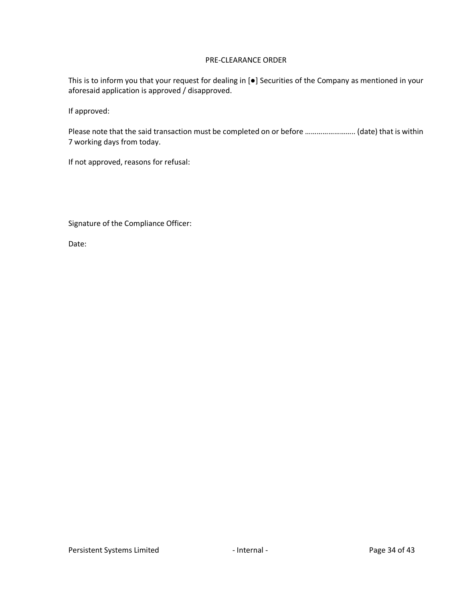#### PRE-CLEARANCE ORDER

This is to inform you that your request for dealing in [●] Securities of the Company as mentioned in your aforesaid application is approved / disapproved.

If approved:

Please note that the said transaction must be completed on or before …………………….. (date) that is within 7 working days from today.

If not approved, reasons for refusal:

Signature of the Compliance Officer:

Date: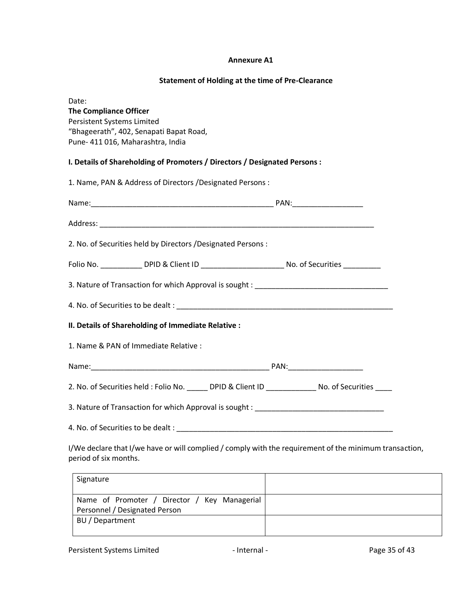#### **Annexure A1**

#### **Statement of Holding at the time of Pre-Clearance**

<span id="page-34-0"></span>Date: **The Compliance Officer** Persistent Systems Limited "Bhageerath", 402, Senapati Bapat Road, Pune- 411 016, Maharashtra, India

## **I. Details of Shareholding of Promoters / Directors / Designated Persons :**

| 1. Name, PAN & Address of Directors / Designated Persons :                                         |  |
|----------------------------------------------------------------------------------------------------|--|
|                                                                                                    |  |
|                                                                                                    |  |
| 2. No. of Securities held by Directors / Designated Persons :                                      |  |
| Folio No. _____________ DPID & Client ID ___________________________ No. of Securities ___________ |  |
|                                                                                                    |  |
|                                                                                                    |  |
| II. Details of Shareholding of Immediate Relative :                                                |  |
| 1. Name & PAN of Immediate Relative :                                                              |  |
|                                                                                                    |  |
| 2. No. of Securities held: Folio No. ______ DPID & Client ID ______________ No. of Securities ____ |  |
| 3. Nature of Transaction for which Approval is sought : _________________________                  |  |
|                                                                                                    |  |
| U/We declare that U/we have or will complied Lcomply with the requirement of the minimum transact  |  |

I/We declare that I/we have or will complied / comply with the requirement of the minimum transaction, period of six months.

| Signature                                                                     |  |
|-------------------------------------------------------------------------------|--|
| Name of Promoter / Director / Key Managerial<br>Personnel / Designated Person |  |
| BU / Department                                                               |  |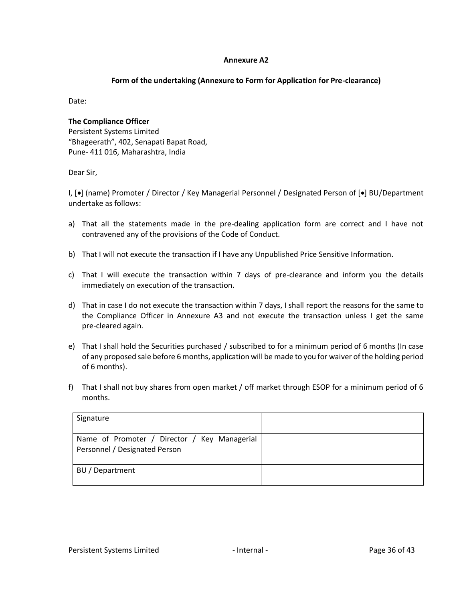#### **Annexure A2**

#### **Form of the undertaking (Annexure to Form for Application for Pre-clearance)**

<span id="page-35-0"></span>Date:

# **The Compliance Officer** Persistent Systems Limited "Bhageerath", 402, Senapati Bapat Road, Pune- 411 016, Maharashtra, India

Dear Sir,

I, [•] (name) Promoter / Director / Key Managerial Personnel / Designated Person of [•] BU/Department undertake as follows:

- a) That all the statements made in the pre-dealing application form are correct and I have not contravened any of the provisions of the Code of Conduct.
- b) That I will not execute the transaction if I have any Unpublished Price Sensitive Information.
- c) That I will execute the transaction within 7 days of pre-clearance and inform you the details immediately on execution of the transaction.
- d) That in case I do not execute the transaction within 7 days, I shall report the reasons for the same to the Compliance Officer in Annexure A3 and not execute the transaction unless I get the same pre-cleared again.
- e) That I shall hold the Securities purchased / subscribed to for a minimum period of 6 months (In case of any proposed sale before 6 months, application will be made to you for waiver of the holding period of 6 months).
- f) That I shall not buy shares from open market / off market through ESOP for a minimum period of 6 months.

| Signature                                                                     |  |
|-------------------------------------------------------------------------------|--|
| Name of Promoter / Director / Key Managerial<br>Personnel / Designated Person |  |
| BU / Department                                                               |  |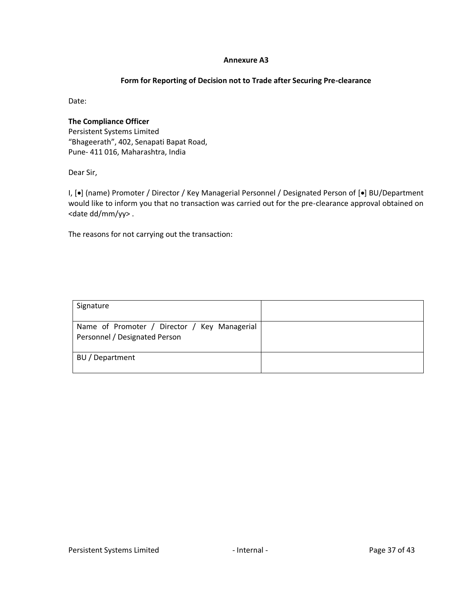#### **Annexure A3**

#### **Form for Reporting of Decision not to Trade after Securing Pre-clearance**

<span id="page-36-0"></span>Date:

**The Compliance Officer** Persistent Systems Limited "Bhageerath", 402, Senapati Bapat Road, Pune- 411 016, Maharashtra, India

Dear Sir,

I, [•] (name) Promoter / Director / Key Managerial Personnel / Designated Person of [•] BU/Department would like to inform you that no transaction was carried out for the pre-clearance approval obtained on <date dd/mm/yy> .

The reasons for not carrying out the transaction:

| Signature                                                                     |  |
|-------------------------------------------------------------------------------|--|
| Name of Promoter / Director / Key Managerial<br>Personnel / Designated Person |  |
| BU / Department                                                               |  |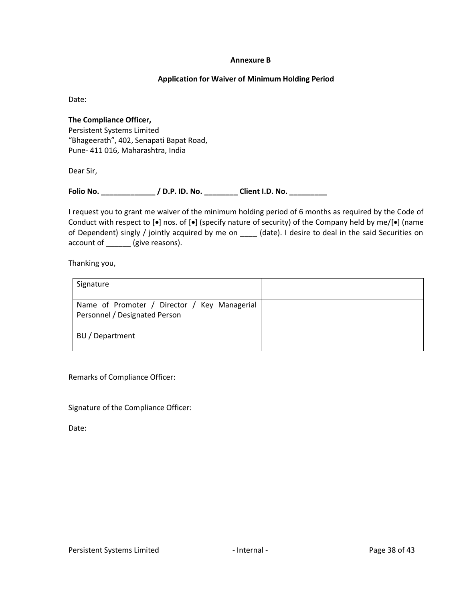#### **Annexure B**

### **Application for Waiver of Minimum Holding Period**

<span id="page-37-0"></span>Date:

**The Compliance Officer,** Persistent Systems Limited "Bhageerath", 402, Senapati Bapat Road, Pune- 411 016, Maharashtra, India

Dear Sir,

**Folio No. \_\_\_\_\_\_\_\_\_\_\_\_\_ / D.P. ID. No. \_\_\_\_\_\_\_\_ Client I.D. No. \_\_\_\_\_\_\_\_\_**

I request you to grant me waiver of the minimum holding period of 6 months as required by the Code of Conduct with respect to [•] nos. of [•] (specify nature of security) of the Company held by me/[•] (name of Dependent) singly / jointly acquired by me on \_\_\_\_ (date). I desire to deal in the said Securities on account of \_\_\_\_\_\_ (give reasons).

Thanking you,

| Signature                                                                     |  |
|-------------------------------------------------------------------------------|--|
| Name of Promoter / Director / Key Managerial<br>Personnel / Designated Person |  |
| BU / Department                                                               |  |

Remarks of Compliance Officer:

Signature of the Compliance Officer:

Date: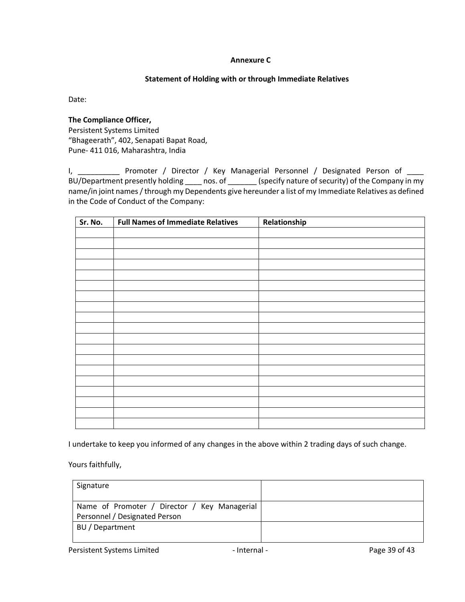## **Annexure C**

## **Statement of Holding with or through Immediate Relatives**

<span id="page-38-0"></span>Date:

#### **The Compliance Officer,**

Persistent Systems Limited "Bhageerath", 402, Senapati Bapat Road, Pune- 411 016, Maharashtra, India

I, \_\_\_\_\_\_\_\_\_\_\_\_ Promoter / Director / Key Managerial Personnel / Designated Person of \_\_\_\_ BU/Department presently holding \_\_\_\_\_ nos. of \_\_\_\_\_\_\_\_ (specify nature of security) of the Company in my name/in joint names / through my Dependents give hereunder a list of my Immediate Relatives as defined in the Code of Conduct of the Company:

| Sr. No. | <b>Full Names of Immediate Relatives</b> | Relationship |
|---------|------------------------------------------|--------------|
|         |                                          |              |
|         |                                          |              |
|         |                                          |              |
|         |                                          |              |
|         |                                          |              |
|         |                                          |              |
|         |                                          |              |
|         |                                          |              |
|         |                                          |              |
|         |                                          |              |
|         |                                          |              |
|         |                                          |              |
|         |                                          |              |
|         |                                          |              |
|         |                                          |              |
|         |                                          |              |
|         |                                          |              |
|         |                                          |              |
|         |                                          |              |

I undertake to keep you informed of any changes in the above within 2 trading days of such change.

Yours faithfully,

| Signature                                                                     |  |
|-------------------------------------------------------------------------------|--|
| Name of Promoter / Director / Key Managerial<br>Personnel / Designated Person |  |
| BU / Department                                                               |  |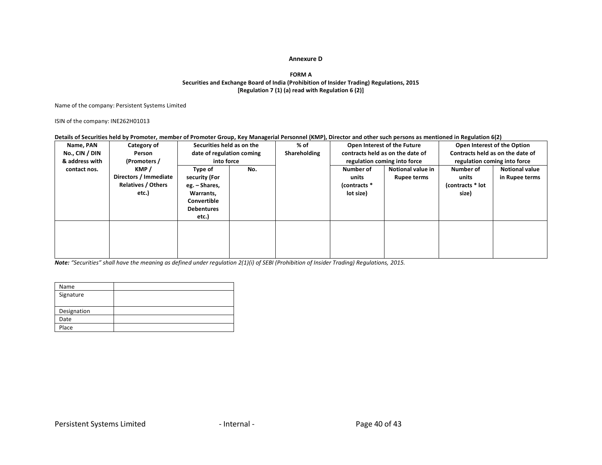#### **Annexure D**

#### **FORM A Securities and Exchange Board of India (Prohibition of Insider Trading) Regulations, 2015 [Regulation 7 (1) (a) read with Regulation 6 (2)]**

Name of the company: Persistent Systems Limited

ISIN of the company: INE262H01013

#### **Details of Securities held by Promoter, member of Promoter Group, Key Managerial Personnel (KMP), Director and other such persons as mentioned in Regulation 6(2)**

<span id="page-39-0"></span>

| Name, PAN      | Category of               | Securities held as on the |     | % of         |              | Open Interest of the Future      | Open Interest of the Option      |                       |  |
|----------------|---------------------------|---------------------------|-----|--------------|--------------|----------------------------------|----------------------------------|-----------------------|--|
| No., CIN / DIN | Person                    | date of regulation coming |     | Shareholding |              | contracts held as on the date of | Contracts held as on the date of |                       |  |
| & address with | (Promoters /              | into force                |     |              |              | regulation coming into force     | regulation coming into force     |                       |  |
| contact nos.   | KMP /                     | Type of                   | No. |              | Number of    | <b>Notional value in</b>         | Number of                        | <b>Notional value</b> |  |
|                | Directors / Immediate     | security (For             |     |              | units        | Rupee terms                      |                                  | in Rupee terms        |  |
|                | <b>Relatives / Others</b> | eg. – Shares,             |     |              | (contracts * |                                  | (contracts * lot                 |                       |  |
|                | etc.)                     | Warrants,                 |     |              | lot size)    |                                  | size)                            |                       |  |
|                |                           | Convertible               |     |              |              |                                  |                                  |                       |  |
|                |                           | <b>Debentures</b>         |     |              |              |                                  |                                  |                       |  |
|                |                           | etc.)                     |     |              |              |                                  |                                  |                       |  |
|                |                           |                           |     |              |              |                                  |                                  |                       |  |
|                |                           |                           |     |              |              |                                  |                                  |                       |  |
|                |                           |                           |     |              |              |                                  |                                  |                       |  |
|                |                           |                           |     |              |              |                                  |                                  |                       |  |
|                |                           |                           |     |              |              |                                  |                                  |                       |  |

| Name        |  |
|-------------|--|
| Signature   |  |
|             |  |
| Designation |  |
| Date        |  |
| Place       |  |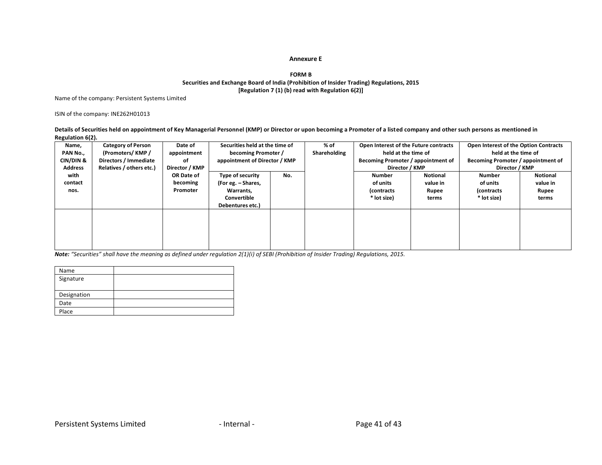#### **Annexure E**

#### **FORM B Securities and Exchange Board of India (Prohibition of Insider Trading) Regulations, 2015 [Regulation 7 (1) (b) read with Regulation 6(2)]**

Name of the company: Persistent Systems Limited

ISIN of the company: INE262H01013

**Details of Securities held on appointment of Key Managerial Personnel (KMP) or Director or upon becoming a Promoter of a listed company and other such persons as mentioned in Regulation 6(2).**

<span id="page-40-0"></span>

| Name,          | <b>Category of Person</b> | Date of        | Securities held at the time of |     | % of         | Open Interest of the Future contracts |          | Open Interest of the Option Contracts |          |  |
|----------------|---------------------------|----------------|--------------------------------|-----|--------------|---------------------------------------|----------|---------------------------------------|----------|--|
| PAN No.,       | (Promoters/KMP/           | appointment    | becoming Promoter /            |     | Shareholding | held at the time of                   |          | held at the time of                   |          |  |
| CIN/DIN &      | Directors / Immediate     | οf             | appointment of Director / KMP  |     |              | Becoming Promoter / appointment of    |          | Becoming Promoter / appointment of    |          |  |
| <b>Address</b> | Relatives / others etc.)  | Director / KMP |                                |     |              | Director / KMP                        |          | Director / KMP                        |          |  |
| with           |                           | OR Date of     | Type of security               | No. |              | Number                                | Notional | <b>Number</b>                         | Notional |  |
| contact        |                           | becoming       | (For eg. - Shares,             |     |              | of units                              | value in | of units                              | value in |  |
| nos.           |                           | Promoter       | Warrants,                      |     |              | (contracts)                           | Rupee    | (contracts)                           | Rupee    |  |
|                |                           |                | Convertible                    |     |              | * lot size)                           | terms    | * lot size)                           | terms    |  |
|                |                           |                | Debentures etc.)               |     |              |                                       |          |                                       |          |  |
|                |                           |                |                                |     |              |                                       |          |                                       |          |  |
|                |                           |                |                                |     |              |                                       |          |                                       |          |  |
|                |                           |                |                                |     |              |                                       |          |                                       |          |  |
|                |                           |                |                                |     |              |                                       |          |                                       |          |  |
|                |                           |                |                                |     |              |                                       |          |                                       |          |  |

| Name        |  |
|-------------|--|
| Signature   |  |
|             |  |
| Designation |  |
| Date        |  |
| Place       |  |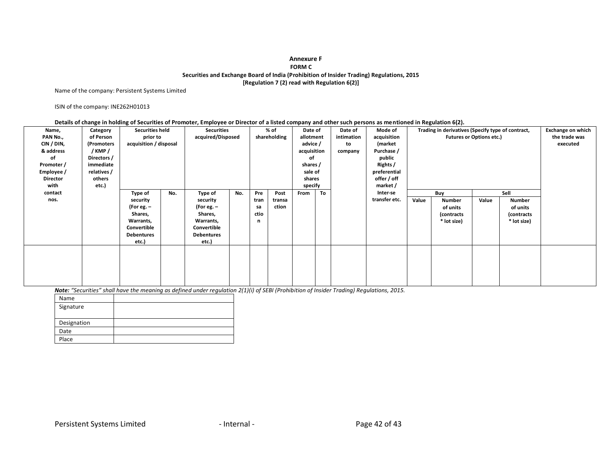#### **Annexure F FORM C Securities and Exchange Board of India (Prohibition of Insider Trading) Regulations, 2015 [Regulation 7 (2) read with Regulation 6(2)]**

Name of the company: Persistent Systems Limited

ISIN of the company: INE262H01013

#### <span id="page-41-0"></span>**Details of change in holding of Securities of Promoter, Employee or Director of a listed company and other such persons as mentioned in Regulation 6(2).**

| Name,           | Category    | <b>Securities held</b> |     |                   | <b>Securities</b> |      | % of         |             | Date of   |            | Date of       | Mode of                         |             | Trading in derivatives (Specify type of contract, |             | <b>Exchange on which</b> |  |  |  |  |  |  |  |  |  |  |  |  |  |  |        |  |             |  |  |  |  |  |
|-----------------|-------------|------------------------|-----|-------------------|-------------------|------|--------------|-------------|-----------|------------|---------------|---------------------------------|-------------|---------------------------------------------------|-------------|--------------------------|--|--|--|--|--|--|--|--|--|--|--|--|--|--|--------|--|-------------|--|--|--|--|--|
| PAN No.,        | of Person   | prior to               |     |                   | acquired/Disposed |      | shareholding |             | allotment | intimation | acquisition   | <b>Futures or Options etc.)</b> |             | the trade was                                     |             |                          |  |  |  |  |  |  |  |  |  |  |  |  |  |  |        |  |             |  |  |  |  |  |
| CIN / DIN,      | (Promoters  | acquisition / disposal |     |                   |                   |      |              | advice /    |           | to         | (market       |                                 |             |                                                   | executed    |                          |  |  |  |  |  |  |  |  |  |  |  |  |  |  |        |  |             |  |  |  |  |  |
| & address       | /KMP/       |                        |     |                   |                   |      |              | acquisition |           | company    | Purchase /    |                                 |             |                                                   |             |                          |  |  |  |  |  |  |  |  |  |  |  |  |  |  |        |  |             |  |  |  |  |  |
| οf              | Directors / |                        |     |                   |                   |      |              | οf          |           |            | public        |                                 |             |                                                   |             |                          |  |  |  |  |  |  |  |  |  |  |  |  |  |  |        |  |             |  |  |  |  |  |
| Promoter /      | immediate   |                        |     |                   |                   |      |              | shares /    |           |            | Rights /      |                                 |             |                                                   |             |                          |  |  |  |  |  |  |  |  |  |  |  |  |  |  |        |  |             |  |  |  |  |  |
| Employee /      | relatives / |                        |     |                   |                   |      |              | sale of     |           |            | preferential  |                                 |             |                                                   |             |                          |  |  |  |  |  |  |  |  |  |  |  |  |  |  |        |  |             |  |  |  |  |  |
| <b>Director</b> | others      |                        |     |                   |                   |      |              |             |           |            |               |                                 |             |                                                   |             |                          |  |  |  |  |  |  |  |  |  |  |  |  |  |  | shares |  | offer / off |  |  |  |  |  |
| with            | etc.)       |                        |     |                   |                   |      |              | specify     |           |            | market /      |                                 |             |                                                   |             |                          |  |  |  |  |  |  |  |  |  |  |  |  |  |  |        |  |             |  |  |  |  |  |
| contact         |             | Type of                | No. | Type of           | No.               | Pre  | Post         | From        | To        |            | Inter-se      |                                 | Buy         |                                                   | Sell        |                          |  |  |  |  |  |  |  |  |  |  |  |  |  |  |        |  |             |  |  |  |  |  |
| nos.            |             | security               |     | security          |                   | tran | transa       |             |           |            | transfer etc. | Value                           | Number      | Value                                             | Number      |                          |  |  |  |  |  |  |  |  |  |  |  |  |  |  |        |  |             |  |  |  |  |  |
|                 |             | (For eg. –             |     | (For eg. –        |                   | sa   | ction        |             |           |            |               |                                 | of units    |                                                   | of units    |                          |  |  |  |  |  |  |  |  |  |  |  |  |  |  |        |  |             |  |  |  |  |  |
|                 |             | Shares,                |     | Shares,           |                   | ctio |              |             |           |            |               |                                 | (contracts) |                                                   | (contracts) |                          |  |  |  |  |  |  |  |  |  |  |  |  |  |  |        |  |             |  |  |  |  |  |
|                 |             | Warrants,              |     | Warrants,         |                   | n    |              |             |           |            |               |                                 | * lot size) |                                                   | * lot size) |                          |  |  |  |  |  |  |  |  |  |  |  |  |  |  |        |  |             |  |  |  |  |  |
|                 |             | Convertible            |     | Convertible       |                   |      |              |             |           |            |               |                                 |             |                                                   |             |                          |  |  |  |  |  |  |  |  |  |  |  |  |  |  |        |  |             |  |  |  |  |  |
|                 |             | <b>Debentures</b>      |     | <b>Debentures</b> |                   |      |              |             |           |            |               |                                 |             |                                                   |             |                          |  |  |  |  |  |  |  |  |  |  |  |  |  |  |        |  |             |  |  |  |  |  |
|                 |             | etc.)                  |     | etc.)             |                   |      |              |             |           |            |               |                                 |             |                                                   |             |                          |  |  |  |  |  |  |  |  |  |  |  |  |  |  |        |  |             |  |  |  |  |  |
|                 |             |                        |     |                   |                   |      |              |             |           |            |               |                                 |             |                                                   |             |                          |  |  |  |  |  |  |  |  |  |  |  |  |  |  |        |  |             |  |  |  |  |  |
|                 |             |                        |     |                   |                   |      |              |             |           |            |               |                                 |             |                                                   |             |                          |  |  |  |  |  |  |  |  |  |  |  |  |  |  |        |  |             |  |  |  |  |  |
|                 |             |                        |     |                   |                   |      |              |             |           |            |               |                                 |             |                                                   |             |                          |  |  |  |  |  |  |  |  |  |  |  |  |  |  |        |  |             |  |  |  |  |  |
|                 |             |                        |     |                   |                   |      |              |             |           |            |               |                                 |             |                                                   |             |                          |  |  |  |  |  |  |  |  |  |  |  |  |  |  |        |  |             |  |  |  |  |  |
|                 |             |                        |     |                   |                   |      |              |             |           |            |               |                                 |             |                                                   |             |                          |  |  |  |  |  |  |  |  |  |  |  |  |  |  |        |  |             |  |  |  |  |  |
|                 |             |                        |     |                   |                   |      |              |             |           |            |               |                                 |             |                                                   |             |                          |  |  |  |  |  |  |  |  |  |  |  |  |  |  |        |  |             |  |  |  |  |  |
|                 |             |                        |     |                   |                   |      |              |             |           |            |               |                                 |             |                                                   |             |                          |  |  |  |  |  |  |  |  |  |  |  |  |  |  |        |  |             |  |  |  |  |  |

| Name        |  |
|-------------|--|
| Signature   |  |
|             |  |
| Designation |  |
| Date        |  |
| Place       |  |